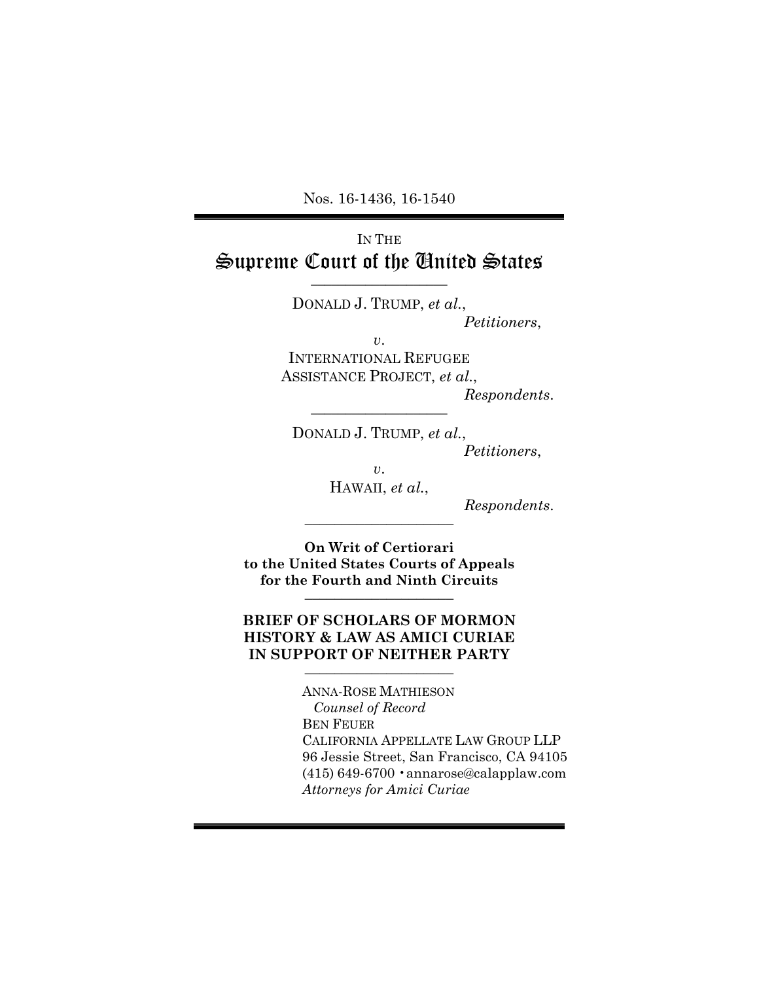Nos. 16-1436, 16-1540

### IN THE Supreme Court of the United States \_\_\_\_\_\_\_\_\_\_\_\_\_\_\_\_\_\_\_\_

DONALD J. TRUMP, *et al.*,

*Petitioners*,

*v*. INTERNATIONAL REFUGEE ASSISTANCE PROJECT, *et al.*,

 $Response$ *Respondents.* 

DONALD J. TRUMP, *et al.*,

*Petitioners*,

*v*.

HAWAII, *et al.*,

 $Response$ .

**On Writ of Certiorari to the United States Courts of Appeals for the Fourth and Ninth Circuits** \_\_\_\_\_\_\_\_\_\_\_\_\_\_\_\_\_\_\_\_

### **BRIEF OF SCHOLARS OF MORMON HISTORY & LAW AS AMICI CURIAE IN SUPPORT OF NEITHER PARTY**

ANNA-ROSE MATHIESON *Counsel of Record*  BEN FEUER CALIFORNIA APPELLATE LAW GROUP LLP 96 Jessie Street, San Francisco, CA 94105 (415) 649-6700 •annarose@calapplaw.com *Attorneys for Amici Curiae*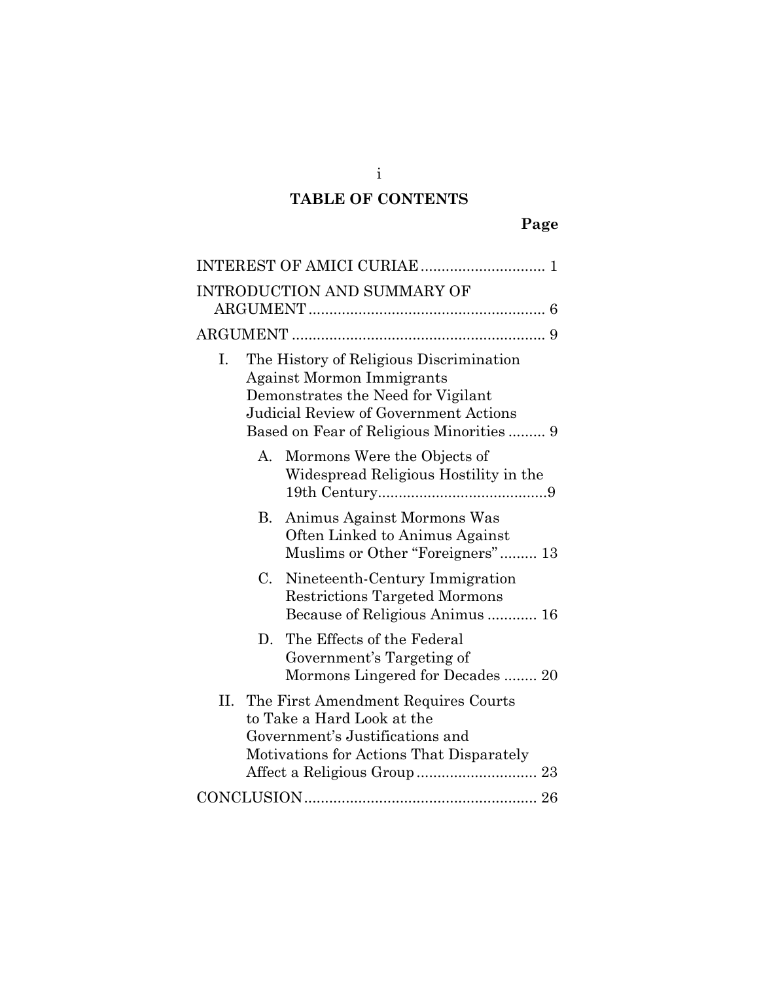# **TABLE OF CONTENTS**

| INTRODUCTION AND SUMMARY OF                                                                                                                                                                                  |
|--------------------------------------------------------------------------------------------------------------------------------------------------------------------------------------------------------------|
|                                                                                                                                                                                                              |
| The History of Religious Discrimination<br>L.<br><b>Against Mormon Immigrants</b><br>Demonstrates the Need for Vigilant<br>Judicial Review of Government Actions<br>Based on Fear of Religious Minorities  9 |
| A.<br>Mormons Were the Objects of<br>Widespread Religious Hostility in the                                                                                                                                   |
| Animus Against Mormons Was<br>В.<br>Often Linked to Animus Against<br>Muslims or Other "Foreigners" 13                                                                                                       |
| $C_{\cdot}$<br>Nineteenth-Century Immigration<br><b>Restrictions Targeted Mormons</b><br>Because of Religious Animus  16                                                                                     |
| The Effects of the Federal<br>D.<br>Government's Targeting of<br>Mormons Lingered for Decades 20                                                                                                             |
| II.<br>The First Amendment Requires Courts<br>to Take a Hard Look at the<br>Government's Justifications and<br>Motivations for Actions That Disparately                                                      |
|                                                                                                                                                                                                              |

i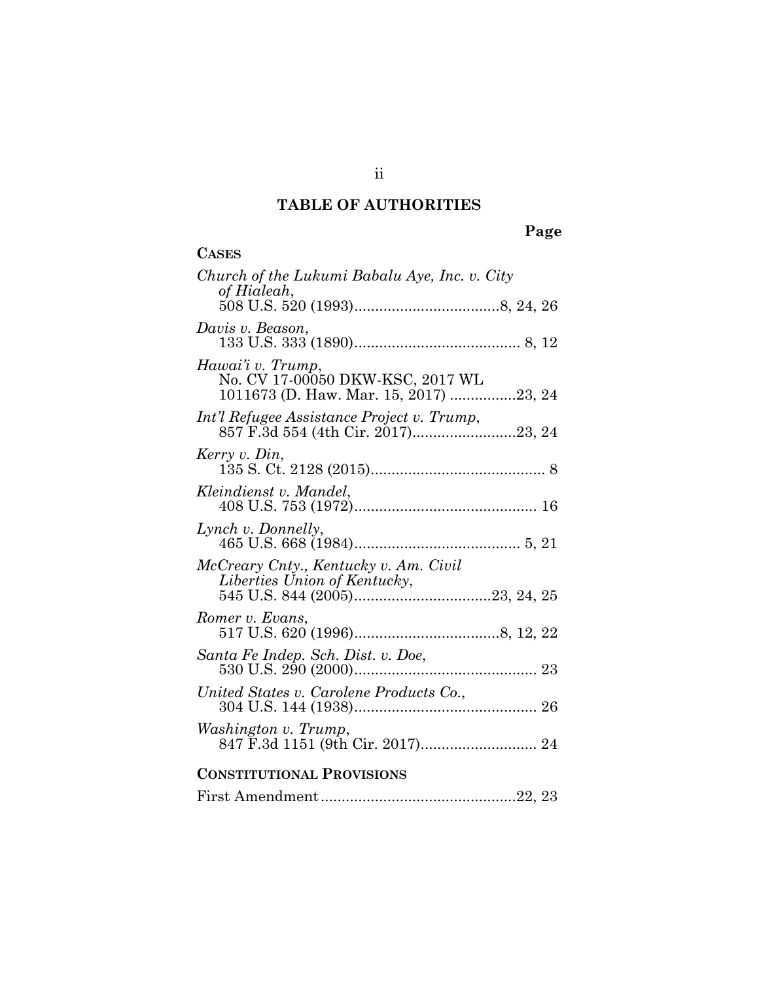# **TABLE OF AUTHORITIES**

# **Page**

| <b>CASES</b>                                                                                    |
|-------------------------------------------------------------------------------------------------|
| Church of the Lukumi Babalu Aye, Inc. v. City<br>of Hialeah,                                    |
|                                                                                                 |
| Davis v. Beason,                                                                                |
| Hawai'i v. Trump,<br>No. CV 17-00050 DKW-KSC, 2017 WL<br>1011673 (D. Haw. Mar. 15, 2017) 23, 24 |
| Int'l Refugee Assistance Project v. Trump,                                                      |
| Kerry v. Din,                                                                                   |
| Kleindienst v. Mandel,                                                                          |
| Lynch v. Donnelly,                                                                              |
| McCreary Cnty., Kentucky v. Am. Civil<br>Liberties Union of Kentucky,                           |
| Romer v. Evans,                                                                                 |
|                                                                                                 |
| United States v. Carolene Products Co.,                                                         |
| Washington v. Trump,                                                                            |
| <b>CONSTITUTIONAL PROVISIONS</b>                                                                |
|                                                                                                 |

ii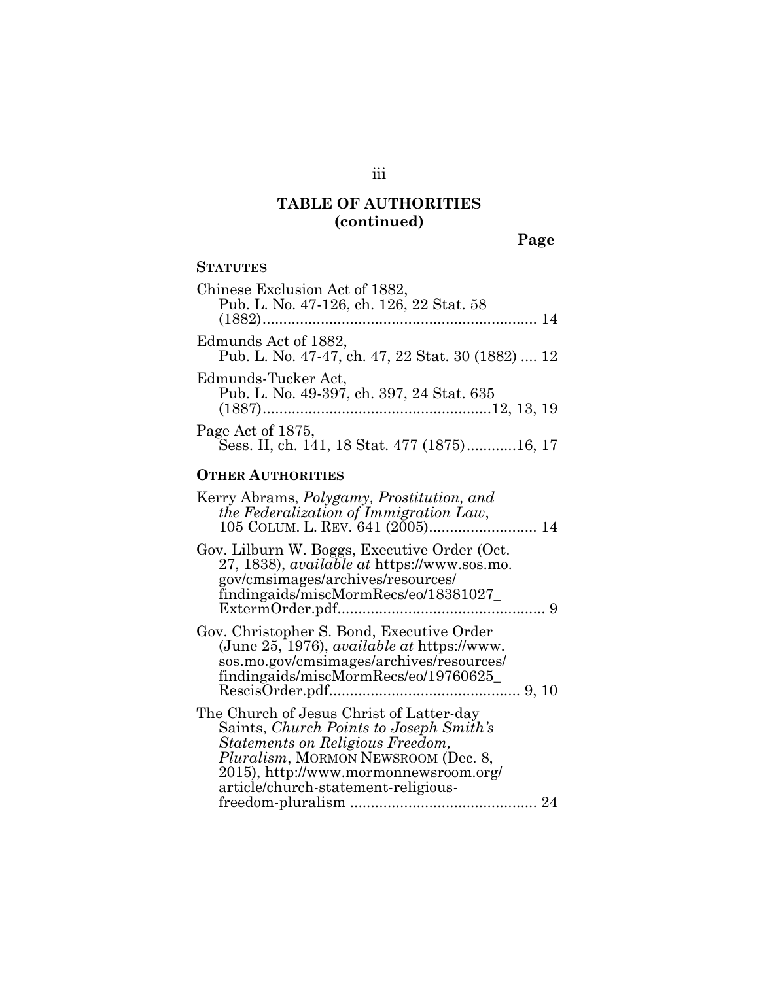**Page**

### **STATUTES**

| Chinese Exclusion Act of 1882,<br>Pub. L. No. 47-126, ch. 126, 22 Stat. 58 |
|----------------------------------------------------------------------------|
| Edmunds Act of 1882,<br>Pub. L. No. 47-47, ch. 47, 22 Stat. 30 (1882)  12  |
| Edmunds-Tucker Act,<br>Pub. L. No. 49-397, ch. 397, 24 Stat. 635           |
| Page Act of 1875,<br>Sess. II, ch. 141, 18 Stat. 477 (1875)16, 17          |

### **OTHER AUTHORITIES**

| Kerry Abrams, <i>Polygamy</i> , <i>Prostitution</i> , and<br>the Federalization of Immigration Law,<br>105 COLUM. L. REV. 641 (2005) 14                                                                                                        |  |
|------------------------------------------------------------------------------------------------------------------------------------------------------------------------------------------------------------------------------------------------|--|
| Gov. Lilburn W. Boggs, Executive Order (Oct.<br>27, 1838), <i>available at https://www.sos.mo.</i><br>gov/cmsimages/archives/resources/<br>findingaids/miscMormRecs/eo/18381027                                                                |  |
| Gov. Christopher S. Bond, Executive Order<br>(June 25, 1976), <i>available at https://www.</i><br>sos.mo.gov/cmsimages/archives/resources/<br>findingaids/miscMormRecs/eo/19760625                                                             |  |
| The Church of Jesus Christ of Latter-day<br>Saints, Church Points to Joseph Smith's<br>Statements on Religious Freedom,<br>Pluralism, MORMON NEWSROOM (Dec. 8,<br>2015), http://www.mormonnewsroom.org/<br>article/church-statement-religious- |  |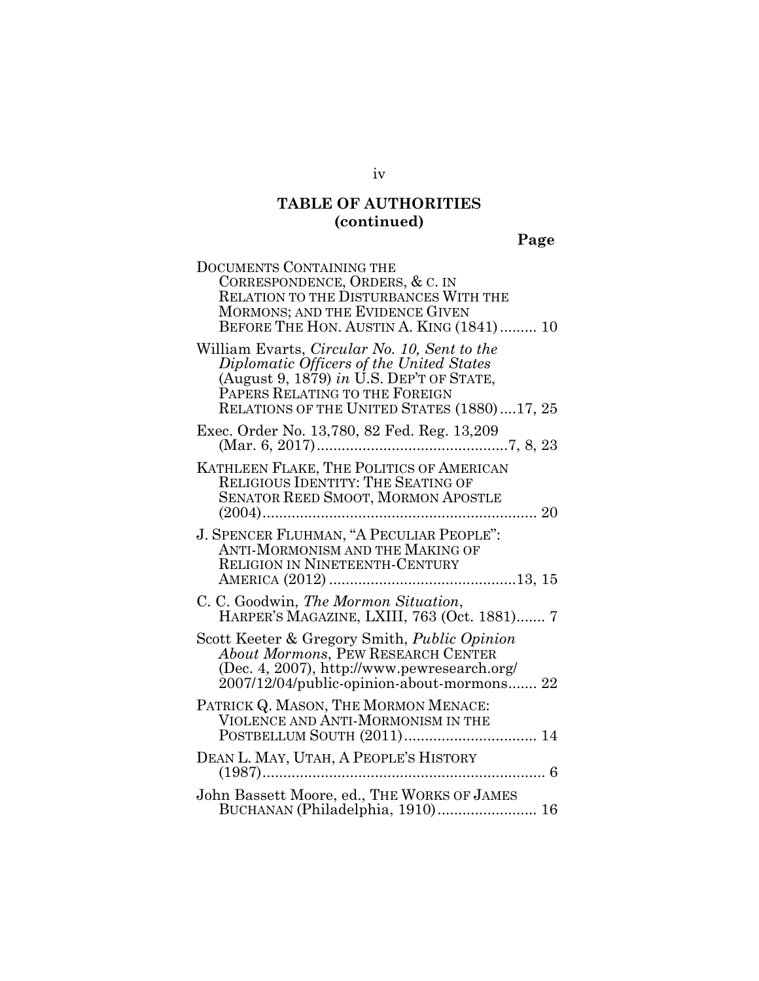**Page**

| DOCUMENTS CONTAINING THE                                                                                                                                                                                              |
|-----------------------------------------------------------------------------------------------------------------------------------------------------------------------------------------------------------------------|
| CORRESPONDENCE, ORDERS, & C. IN<br><b>RELATION TO THE DISTURBANCES WITH THE</b>                                                                                                                                       |
| <b>MORMONS; AND THE EVIDENCE GIVEN</b>                                                                                                                                                                                |
| BEFORE THE HON. AUSTIN A. KING (1841)  10                                                                                                                                                                             |
| William Evarts, Circular No. 10, Sent to the<br>Diplomatic Officers of the United States<br>(August 9, 1879) in U.S. DEP'T OF STATE,<br>PAPERS RELATING TO THE FOREIGN<br>RELATIONS OF THE UNITED STATES (1880)17, 25 |
| Exec. Order No. 13,780, 82 Fed. Reg. 13,209                                                                                                                                                                           |
| KATHLEEN FLAKE, THE POLITICS OF AMERICAN                                                                                                                                                                              |
| <b>RELIGIOUS IDENTITY: THE SEATING OF</b><br>SENATOR REED SMOOT, MORMON APOSTLE                                                                                                                                       |
|                                                                                                                                                                                                                       |
| J. SPENCER FLUHMAN, "A PECULIAR PEOPLE":<br>ANTI-MORMONISM AND THE MAKING OF                                                                                                                                          |
| RELIGION IN NINETEENTH-CENTURY                                                                                                                                                                                        |
|                                                                                                                                                                                                                       |
| C. C. Goodwin, The Mormon Situation,<br>HARPER'S MAGAZINE, LXIII, 763 (Oct. 1881) 7                                                                                                                                   |
| Scott Keeter & Gregory Smith, <i>Public Opinion</i>                                                                                                                                                                   |
| About Mormons, PEW RESEARCH CENTER<br>(Dec. 4, 2007), http://www.pewresearch.org/                                                                                                                                     |
| 2007/12/04/public-opinion-about-mormons 22                                                                                                                                                                            |
| PATRICK Q. MASON, THE MORMON MENACE:                                                                                                                                                                                  |
| VIOLENCE AND ANTI-MORMONISM IN THE<br>POSTBELLUM SOUTH (2011) 14                                                                                                                                                      |
| DEAN L. MAY, UTAH, A PEOPLE'S HISTORY                                                                                                                                                                                 |
|                                                                                                                                                                                                                       |
| John Bassett Moore, ed., THE WORKS OF JAMES<br>BUCHANAN (Philadelphia, 1910) 16                                                                                                                                       |

iv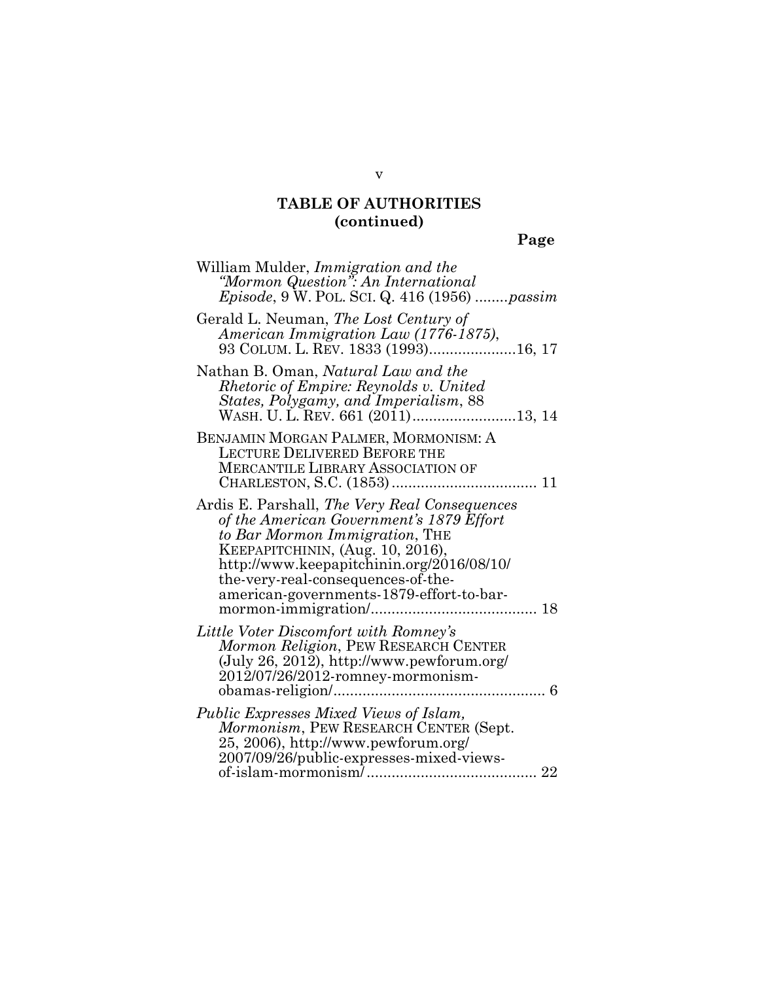**Page**

| William Mulder, <i>Immigration and the</i><br>"Mormon Question": An International<br><i>Episode</i> , 9 W. POL. SCI. Q. 416 (1956) <i>passim</i>                                                                                                                                                      |
|-------------------------------------------------------------------------------------------------------------------------------------------------------------------------------------------------------------------------------------------------------------------------------------------------------|
| Gerald L. Neuman, The Lost Century of<br>American Immigration Law (1776-1875),<br>93 COLUM. L. REV. 1833 (1993)16, 17                                                                                                                                                                                 |
| Nathan B. Oman, Natural Law and the<br><i>Rhetoric of Empire: Reynolds v. United</i><br>States, Polygamy, and Imperialism, 88<br>WASH. U. L. REV. 661 (2011)13, 14                                                                                                                                    |
| BENJAMIN MORGAN PALMER, MORMONISM: A<br><b>LECTURE DELIVERED BEFORE THE</b><br><b>MERCANTILE LIBRARY ASSOCIATION OF</b>                                                                                                                                                                               |
| Ardis E. Parshall, <i>The Very Real Consequences</i><br>of the American Government's 1879 Effort<br>to Bar Mormon Immigration, THE<br>KEEPAPITCHININ, (Aug. 10, 2016),<br>http://www.keepapitchinin.org/2016/08/10/<br>the-very-real-consequences-of-the-<br>american-governments-1879-effort-to-bar- |
| Little Voter Discomfort with Romney's<br>Mormon Religion, PEW RESEARCH CENTER<br>(July 26, 2012), http://www.pewforum.org/<br>2012/07/26/2012-romney-mormonism-                                                                                                                                       |
| Public Expresses Mixed Views of Islam,<br><i>Mormonism</i> , PEW RESEARCH CENTER (Sept.<br>25, 2006), http://www.pewforum.org/<br>2007/09/26/public-expresses-mixed-views-                                                                                                                            |

v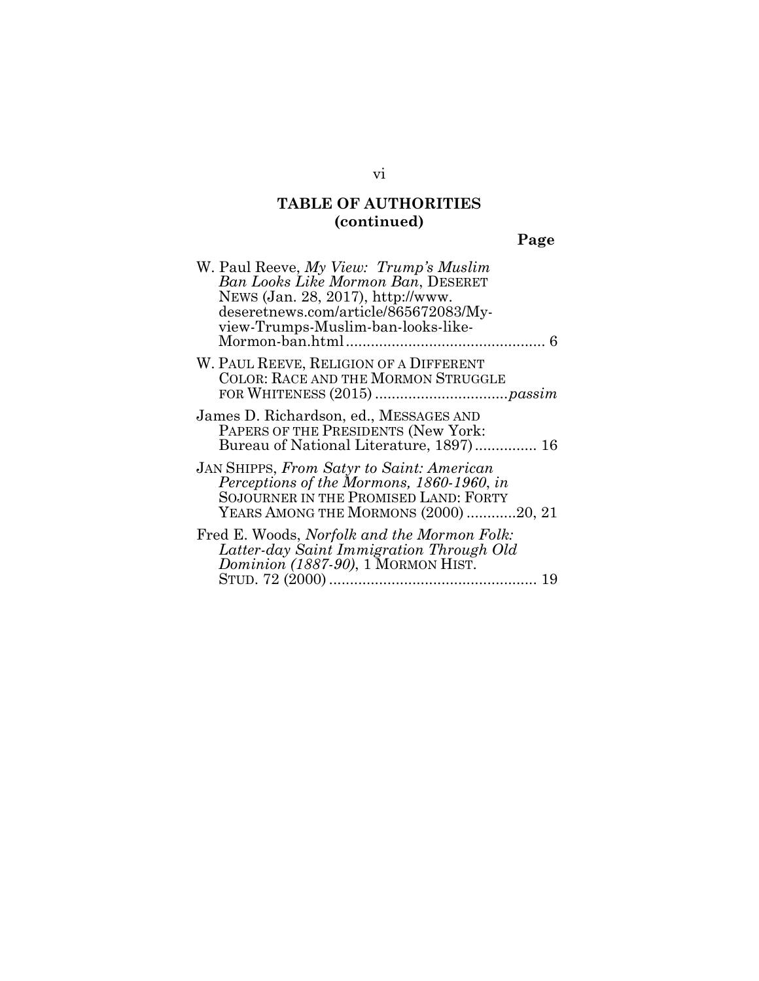| П |
|---|
|---|

| W. Paul Reeve, My View: Trump's Muslim<br><b>Ban Looks Like Mormon Ban, DESERET</b><br>NEWS (Jan. 28, 2017), http://www.<br>deseretnews.com/article/865672083/My-<br>view-Trumps-Muslim-ban-looks-like- |
|---------------------------------------------------------------------------------------------------------------------------------------------------------------------------------------------------------|
| W. PAUL REEVE, RELIGION OF A DIFFERENT<br><b>COLOR: RACE AND THE MORMON STRUGGLE</b>                                                                                                                    |
| James D. Richardson, ed., MESSAGES AND<br>PAPERS OF THE PRESIDENTS (New York:<br>Bureau of National Literature, 1897) 16                                                                                |
| JAN SHIPPS, From Satyr to Saint: American<br>Perceptions of the Mormons, 1860-1960, in<br>SOJOURNER IN THE PROMISED LAND: FORTY<br>YEARS AMONG THE MORMONS (2000) 20, 21                                |
| Fred E. Woods, Norfolk and the Mormon Folk:<br>Latter-day Saint Immigration Through Old<br><i>Dominion (1887-90)</i> , 1 MORMON HIST.                                                                   |

### vi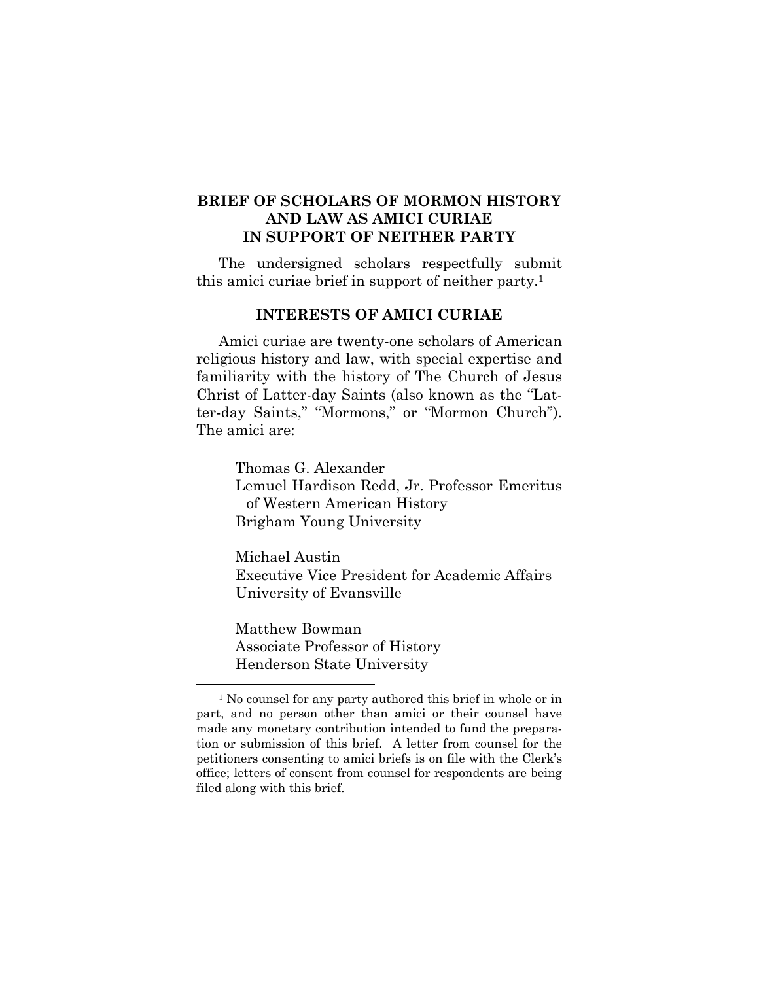### **BRIEF OF SCHOLARS OF MORMON HISTORY AND LAW AS AMICI CURIAE IN SUPPORT OF NEITHER PARTY**

The undersigned scholars respectfully submit this amici curiae brief in support of neither party.1

#### **INTERESTS OF AMICI CURIAE**

Amici curiae are twenty-one scholars of American religious history and law, with special expertise and familiarity with the history of The Church of Jesus Christ of Latter-day Saints (also known as the "Latter-day Saints," "Mormons," or "Mormon Church"). The amici are:

> Thomas G. Alexander Lemuel Hardison Redd, Jr. Professor Emeritus of Western American History Brigham Young University

Michael Austin Executive Vice President for Academic Affairs University of Evansville

Matthew Bowman Associate Professor of History Henderson State University

<sup>&</sup>lt;sup>1</sup> No counsel for any party authored this brief in whole or in part, and no person other than amici or their counsel have made any monetary contribution intended to fund the preparation or submission of this brief. A letter from counsel for the petitioners consenting to amici briefs is on file with the Clerk's office; letters of consent from counsel for respondents are being filed along with this brief.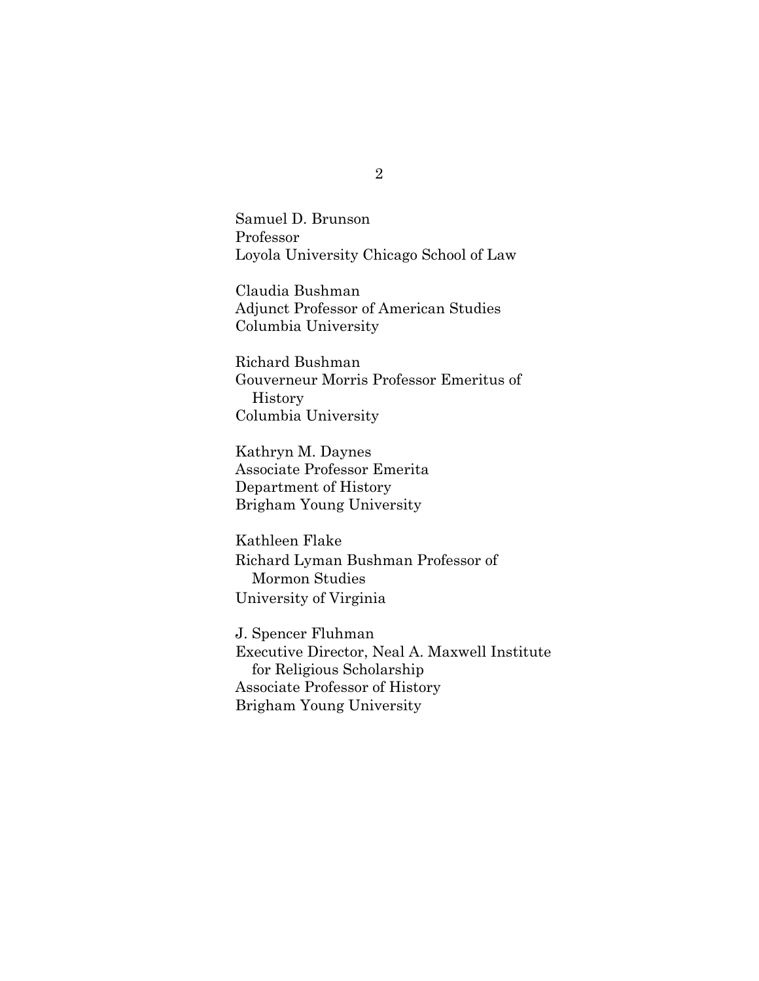Samuel D. Brunson Professor Loyola University Chicago School of Law

Claudia Bushman Adjunct Professor of American Studies Columbia University

Richard Bushman Gouverneur Morris Professor Emeritus of History Columbia University

Kathryn M. Daynes Associate Professor Emerita Department of History Brigham Young University

Kathleen Flake Richard Lyman Bushman Professor of Mormon Studies University of Virginia

J. Spencer Fluhman Executive Director, Neal A. Maxwell Institute for Religious Scholarship Associate Professor of History Brigham Young University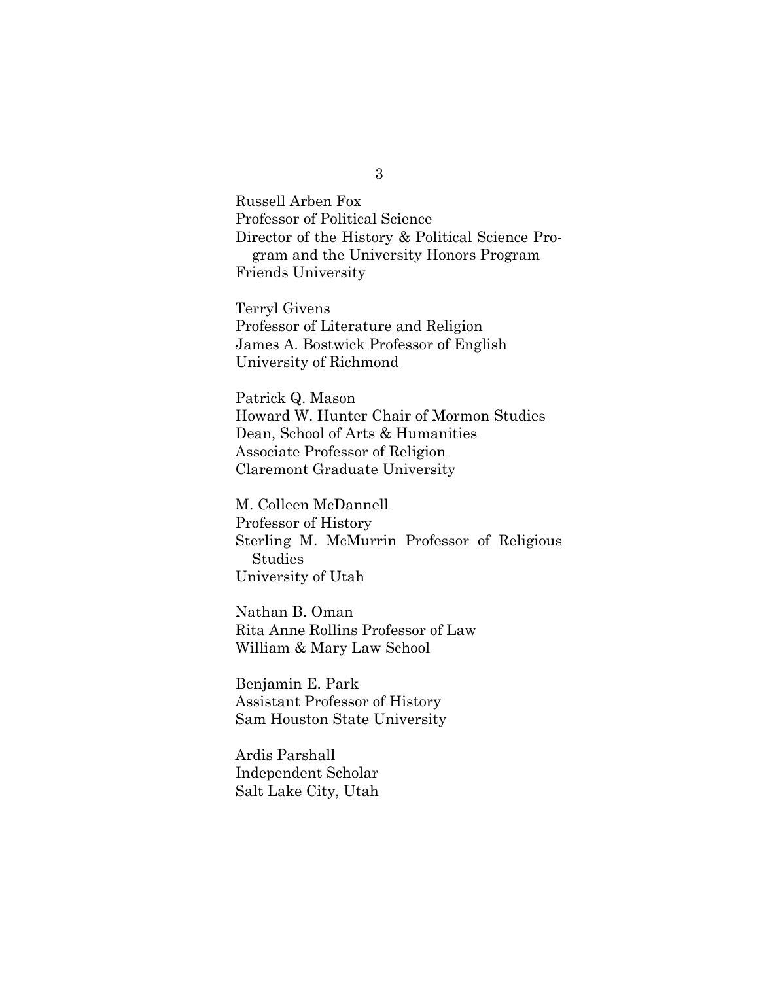Russell Arben Fox Professor of Political Science Director of the History & Political Science Program and the University Honors Program Friends University

Terryl Givens Professor of Literature and Religion James A. Bostwick Professor of English University of Richmond

Patrick Q. Mason Howard W. Hunter Chair of Mormon Studies Dean, School of Arts & Humanities Associate Professor of Religion Claremont Graduate University

M. Colleen McDannell Professor of History Sterling M. McMurrin Professor of Religious Studies University of Utah

Nathan B. Oman Rita Anne Rollins Professor of Law William & Mary Law School

Benjamin E. Park Assistant Professor of History Sam Houston State University

Ardis Parshall Independent Scholar Salt Lake City, Utah

3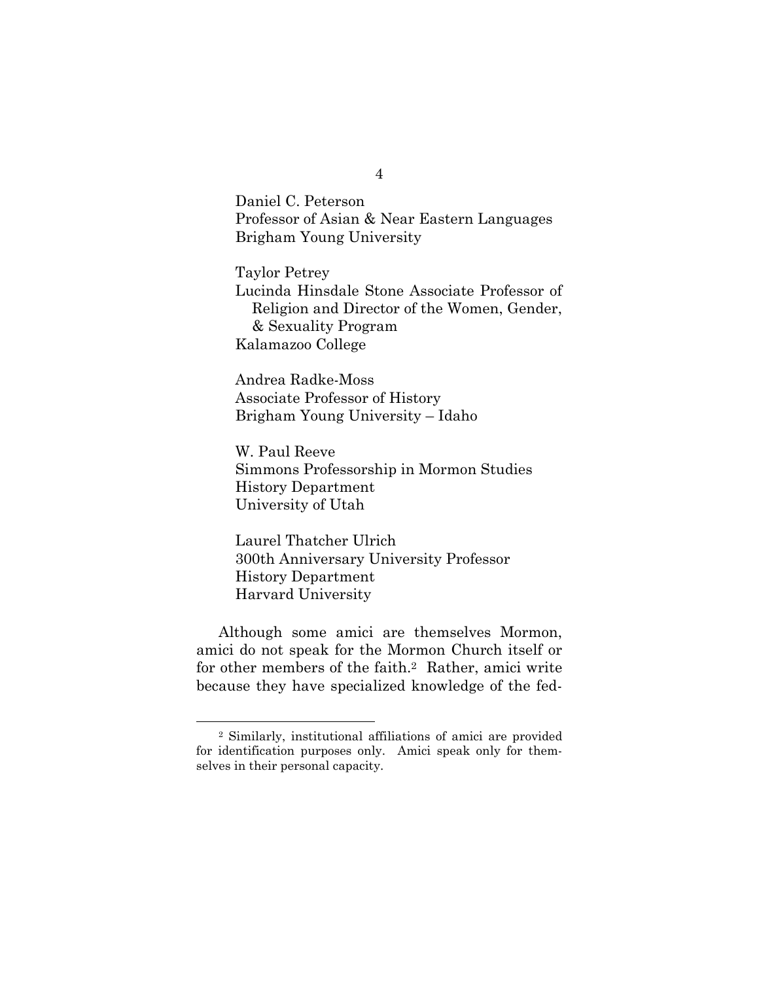Daniel C. Peterson Professor of Asian & Near Eastern Languages Brigham Young University

Taylor Petrey Lucinda Hinsdale Stone Associate Professor of Religion and Director of the Women, Gender, & Sexuality Program Kalamazoo College

Andrea Radke-Moss Associate Professor of History Brigham Young University – Idaho

W. Paul Reeve Simmons Professorship in Mormon Studies History Department University of Utah

Laurel Thatcher Ulrich 300th Anniversary University Professor History Department Harvard University

Although some amici are themselves Mormon, amici do not speak for the Mormon Church itself or for other members of the faith.2 Rather, amici write because they have specialized knowledge of the fed-

4

 <sup>2</sup> Similarly, institutional affiliations of amici are provided for identification purposes only. Amici speak only for themselves in their personal capacity.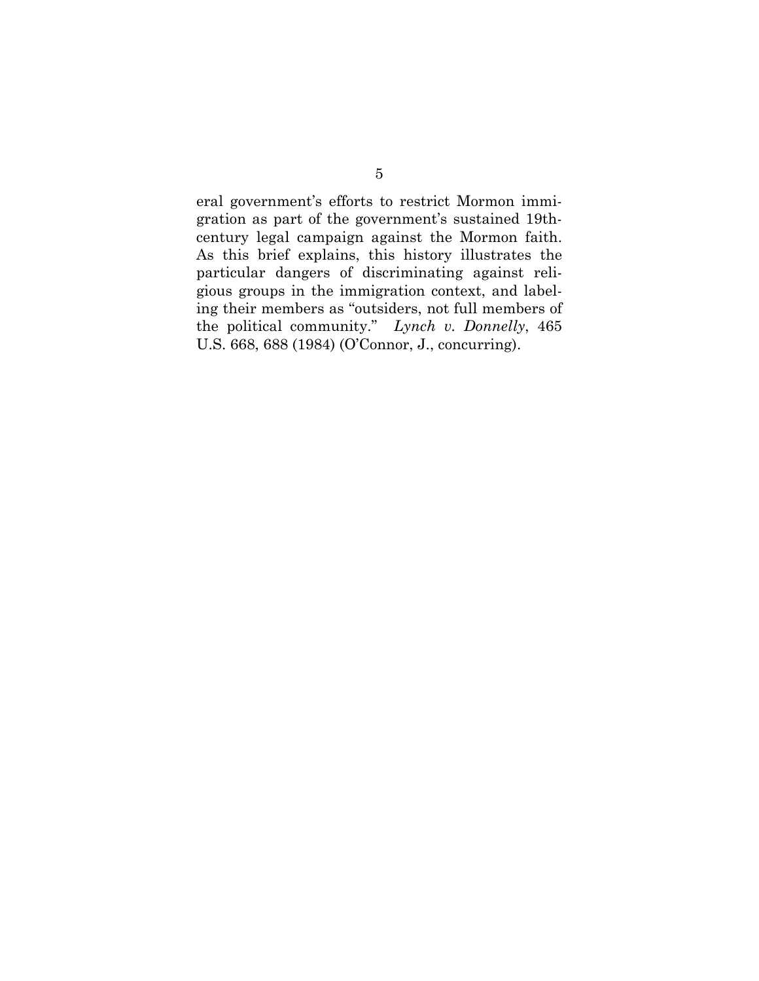eral government's efforts to restrict Mormon immigration as part of the government's sustained 19thcentury legal campaign against the Mormon faith. As this brief explains, this history illustrates the particular dangers of discriminating against religious groups in the immigration context, and labeling their members as "outsiders, not full members of the political community." *Lynch v. Donnelly*, 465 U.S. 668, 688 (1984) (O'Connor, J., concurring).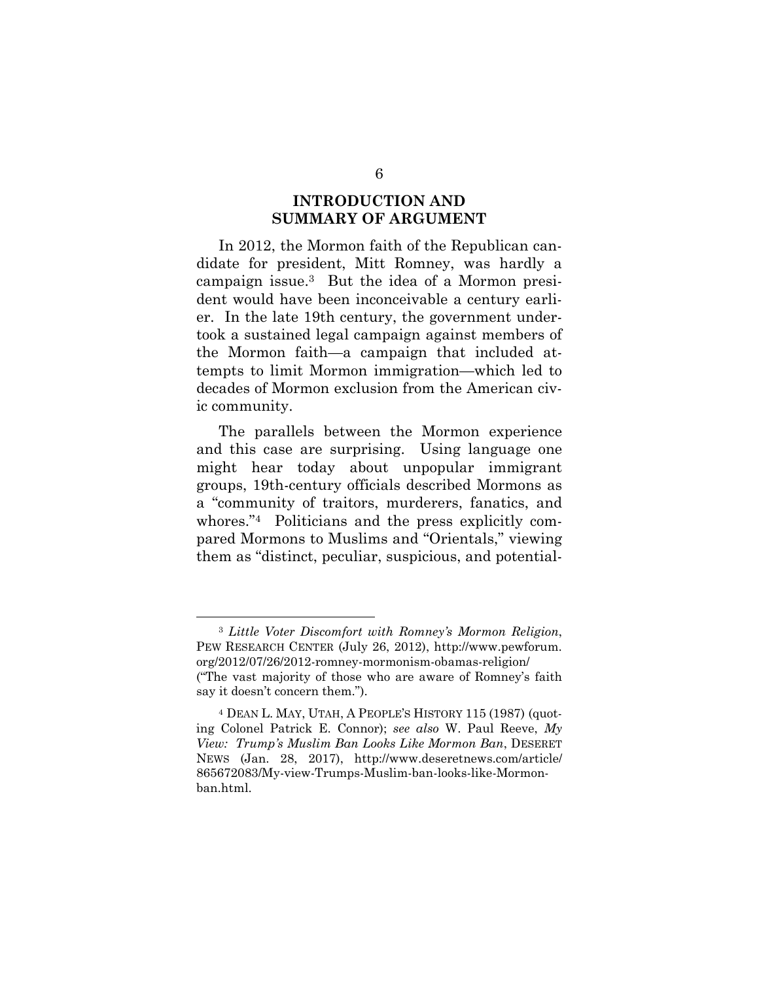#### **INTRODUCTION AND SUMMARY OF ARGUMENT**

In 2012, the Mormon faith of the Republican candidate for president, Mitt Romney, was hardly a campaign issue.3 But the idea of a Mormon president would have been inconceivable a century earlier. In the late 19th century, the government undertook a sustained legal campaign against members of the Mormon faith—a campaign that included attempts to limit Mormon immigration—which led to decades of Mormon exclusion from the American civic community.

The parallels between the Mormon experience and this case are surprising. Using language one might hear today about unpopular immigrant groups, 19th-century officials described Mormons as a "community of traitors, murderers, fanatics, and whores."4 Politicians and the press explicitly compared Mormons to Muslims and "Orientals," viewing them as "distinct, peculiar, suspicious, and potential-

 <sup>3</sup> *Little Voter Discomfort with Romney's Mormon Religion*, PEW RESEARCH CENTER (July 26, 2012), http://www.pewforum. org/2012/07/26/2012-romney-mormonism-obamas-religion/ ("The vast majority of those who are aware of Romney's faith say it doesn't concern them.").

<sup>4</sup> DEAN L. MAY, UTAH, A PEOPLE'S HISTORY 115 (1987) (quoting Colonel Patrick E. Connor); *see also* W. Paul Reeve, *My View: Trump's Muslim Ban Looks Like Mormon Ban*, DESERET NEWS (Jan. 28, 2017), http://www.deseretnews.com/article/ 865672083/My-view-Trumps-Muslim-ban-looks-like-Mormonban.html.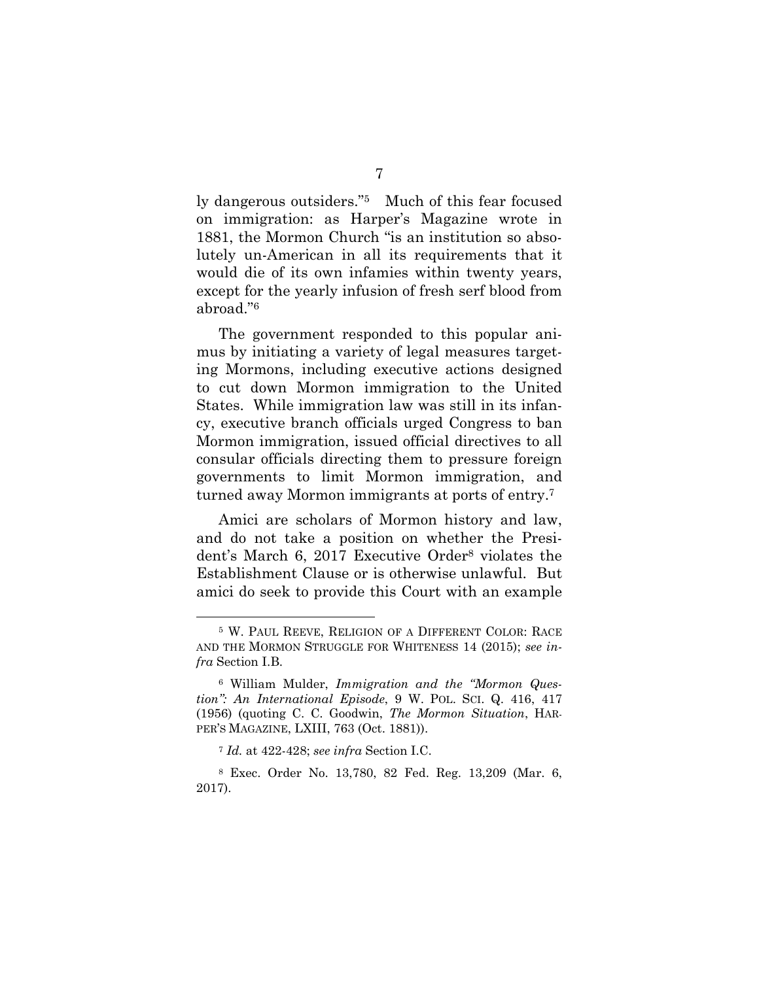ly dangerous outsiders."5 Much of this fear focused on immigration: as Harper's Magazine wrote in 1881, the Mormon Church "is an institution so absolutely un-American in all its requirements that it would die of its own infamies within twenty years, except for the yearly infusion of fresh serf blood from abroad."6

The government responded to this popular animus by initiating a variety of legal measures targeting Mormons, including executive actions designed to cut down Mormon immigration to the United States. While immigration law was still in its infancy, executive branch officials urged Congress to ban Mormon immigration, issued official directives to all consular officials directing them to pressure foreign governments to limit Mormon immigration, and turned away Mormon immigrants at ports of entry.7

Amici are scholars of Mormon history and law, and do not take a position on whether the President's March 6, 2017 Executive Order8 violates the Establishment Clause or is otherwise unlawful. But amici do seek to provide this Court with an example

 <sup>5</sup> W. PAUL REEVE, RELIGION OF A DIFFERENT COLOR: RACE AND THE MORMON STRUGGLE FOR WHITENESS 14 (2015); *see infra* Section I.B.

<sup>6</sup> William Mulder, *Immigration and the "Mormon Question": An International Episode*, 9 W. POL. SCI. Q. 416, 417 (1956) (quoting C. C. Goodwin, *The Mormon Situation*, HAR-PER'S MAGAZINE, LXIII, 763 (Oct. 1881)).

<sup>7</sup> *Id.* at 422-428; *see infra* Section I.C.

<sup>8</sup> Exec. Order No. 13,780, 82 Fed. Reg. 13,209 (Mar. 6, 2017).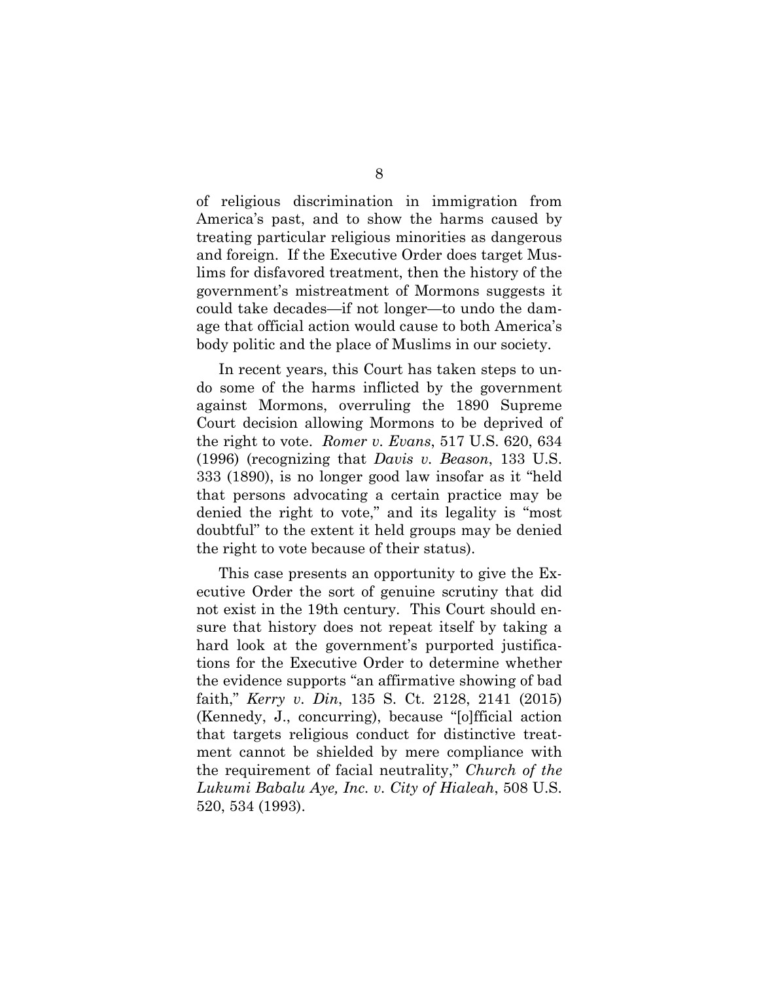of religious discrimination in immigration from America's past, and to show the harms caused by treating particular religious minorities as dangerous and foreign. If the Executive Order does target Muslims for disfavored treatment, then the history of the government's mistreatment of Mormons suggests it could take decades—if not longer—to undo the damage that official action would cause to both America's body politic and the place of Muslims in our society.

In recent years, this Court has taken steps to undo some of the harms inflicted by the government against Mormons, overruling the 1890 Supreme Court decision allowing Mormons to be deprived of the right to vote. *Romer v. Evans*, 517 U.S. 620, 634 (1996) (recognizing that *Davis v. Beason*, 133 U.S. 333 (1890), is no longer good law insofar as it "held that persons advocating a certain practice may be denied the right to vote," and its legality is "most doubtful" to the extent it held groups may be denied the right to vote because of their status).

This case presents an opportunity to give the Executive Order the sort of genuine scrutiny that did not exist in the 19th century. This Court should ensure that history does not repeat itself by taking a hard look at the government's purported justifications for the Executive Order to determine whether the evidence supports "an affirmative showing of bad faith," *Kerry v. Din*, 135 S. Ct. 2128, 2141 (2015) (Kennedy, J., concurring), because "[o]fficial action that targets religious conduct for distinctive treatment cannot be shielded by mere compliance with the requirement of facial neutrality," *Church of the Lukumi Babalu Aye, Inc. v. City of Hialeah*, 508 U.S. 520, 534 (1993).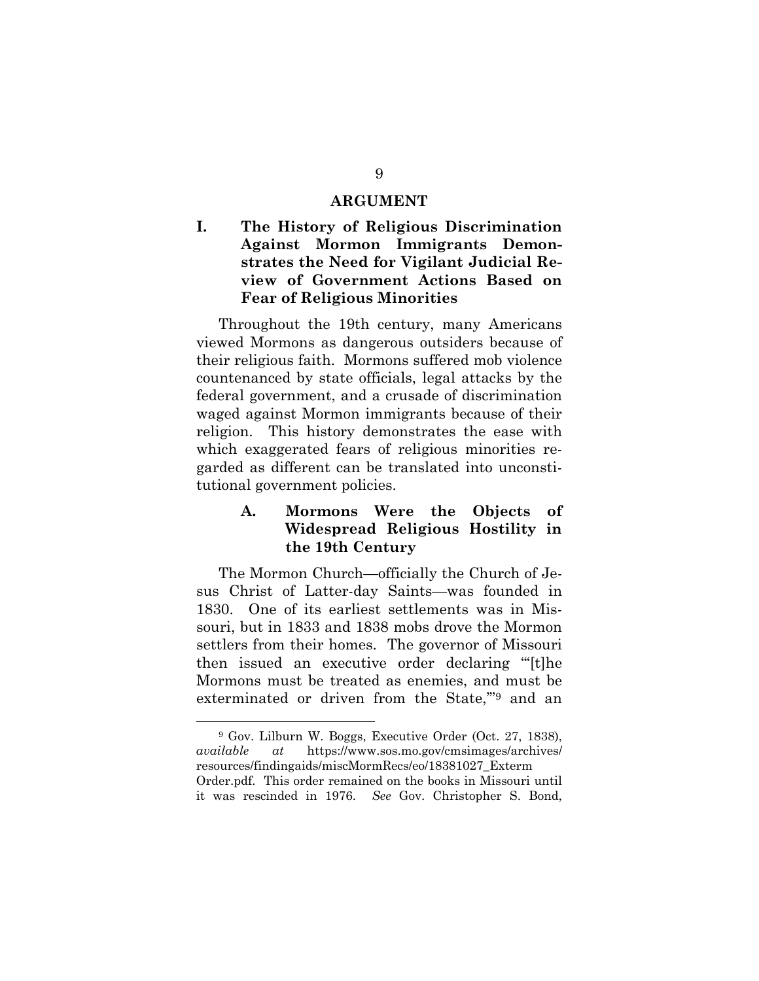#### **ARGUMENT**

### **I. The History of Religious Discrimination Against Mormon Immigrants Demonstrates the Need for Vigilant Judicial Review of Government Actions Based on Fear of Religious Minorities**

Throughout the 19th century, many Americans viewed Mormons as dangerous outsiders because of their religious faith. Mormons suffered mob violence countenanced by state officials, legal attacks by the federal government, and a crusade of discrimination waged against Mormon immigrants because of their religion. This history demonstrates the ease with which exaggerated fears of religious minorities regarded as different can be translated into unconstitutional government policies.

#### **A. Mormons Were the Objects of Widespread Religious Hostility in the 19th Century**

The Mormon Church—officially the Church of Jesus Christ of Latter-day Saints—was founded in 1830. One of its earliest settlements was in Missouri, but in 1833 and 1838 mobs drove the Mormon settlers from their homes. The governor of Missouri then issued an executive order declaring "'[t]he Mormons must be treated as enemies, and must be exterminated or driven from the State,'"9 and an

 <sup>9</sup> Gov. Lilburn W. Boggs, Executive Order (Oct. 27, 1838), *available at* https://www.sos.mo.gov/cmsimages/archives/ resources/findingaids/miscMormRecs/eo/18381027\_Exterm Order.pdf. This order remained on the books in Missouri until it was rescinded in 1976. *See* Gov. Christopher S. Bond,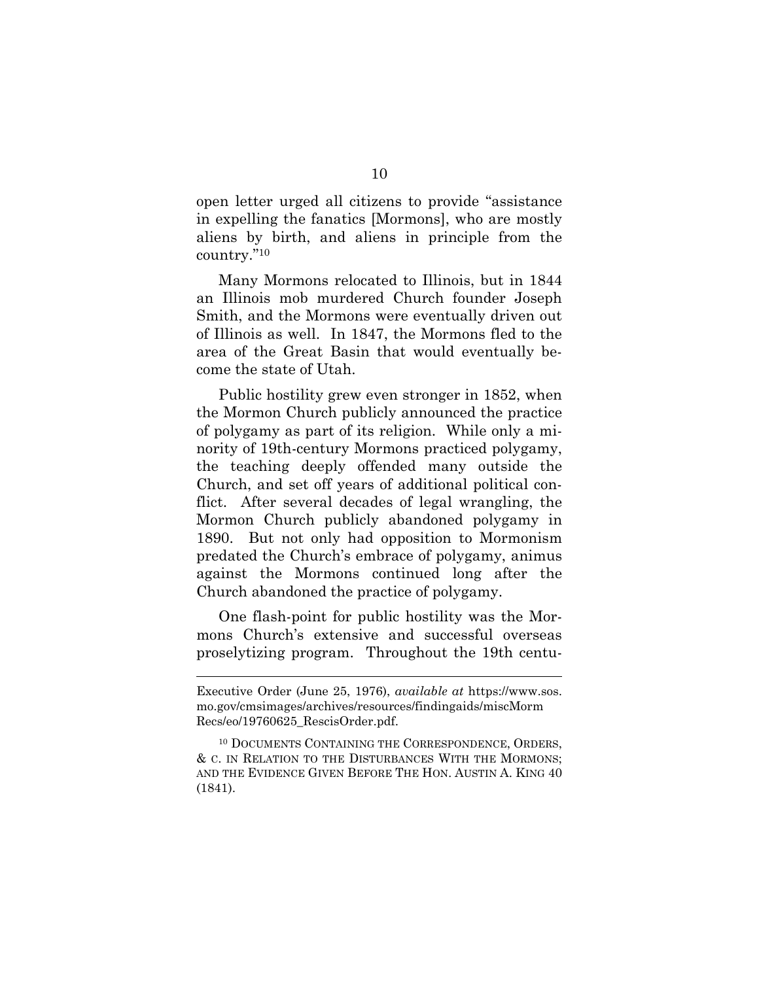open letter urged all citizens to provide "assistance in expelling the fanatics [Mormons], who are mostly aliens by birth, and aliens in principle from the country."10

Many Mormons relocated to Illinois, but in 1844 an Illinois mob murdered Church founder Joseph Smith, and the Mormons were eventually driven out of Illinois as well. In 1847, the Mormons fled to the area of the Great Basin that would eventually become the state of Utah.

Public hostility grew even stronger in 1852, when the Mormon Church publicly announced the practice of polygamy as part of its religion. While only a minority of 19th-century Mormons practiced polygamy, the teaching deeply offended many outside the Church, and set off years of additional political conflict. After several decades of legal wrangling, the Mormon Church publicly abandoned polygamy in 1890. But not only had opposition to Mormonism predated the Church's embrace of polygamy, animus against the Mormons continued long after the Church abandoned the practice of polygamy.

One flash-point for public hostility was the Mormons Church's extensive and successful overseas proselytizing program. Throughout the 19th centu-

l

Executive Order (June 25, 1976), *available at* https://www.sos. mo.gov/cmsimages/archives/resources/findingaids/miscMorm Recs/eo/19760625\_RescisOrder.pdf.

<sup>10</sup> DOCUMENTS CONTAINING THE CORRESPONDENCE, ORDERS, & C. IN RELATION TO THE DISTURBANCES WITH THE MORMONS; AND THE EVIDENCE GIVEN BEFORE THE HON. AUSTIN A. KING 40 (1841).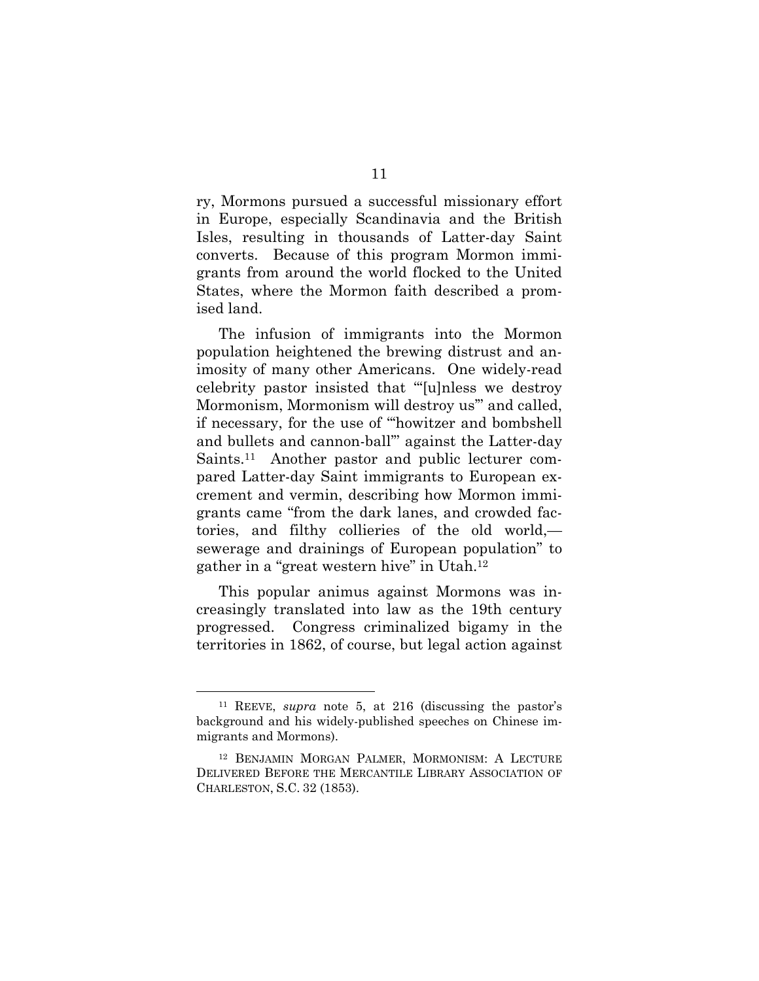ry, Mormons pursued a successful missionary effort in Europe, especially Scandinavia and the British Isles, resulting in thousands of Latter-day Saint converts. Because of this program Mormon immigrants from around the world flocked to the United States, where the Mormon faith described a promised land.

The infusion of immigrants into the Mormon population heightened the brewing distrust and animosity of many other Americans. One widely-read celebrity pastor insisted that "'[u]nless we destroy Mormonism, Mormonism will destroy us'" and called, if necessary, for the use of "'howitzer and bombshell and bullets and cannon-ball'" against the Latter-day Saints.11 Another pastor and public lecturer compared Latter-day Saint immigrants to European excrement and vermin, describing how Mormon immigrants came "from the dark lanes, and crowded factories, and filthy collieries of the old world, sewerage and drainings of European population" to gather in a "great western hive" in Utah.12

This popular animus against Mormons was increasingly translated into law as the 19th century progressed. Congress criminalized bigamy in the territories in 1862, of course, but legal action against

 <sup>11</sup> REEVE, *supra* note 5, at 216 (discussing the pastor's background and his widely-published speeches on Chinese immigrants and Mormons).

<sup>12</sup> BENJAMIN MORGAN PALMER, MORMONISM: A LECTURE DELIVERED BEFORE THE MERCANTILE LIBRARY ASSOCIATION OF CHARLESTON, S.C. 32 (1853).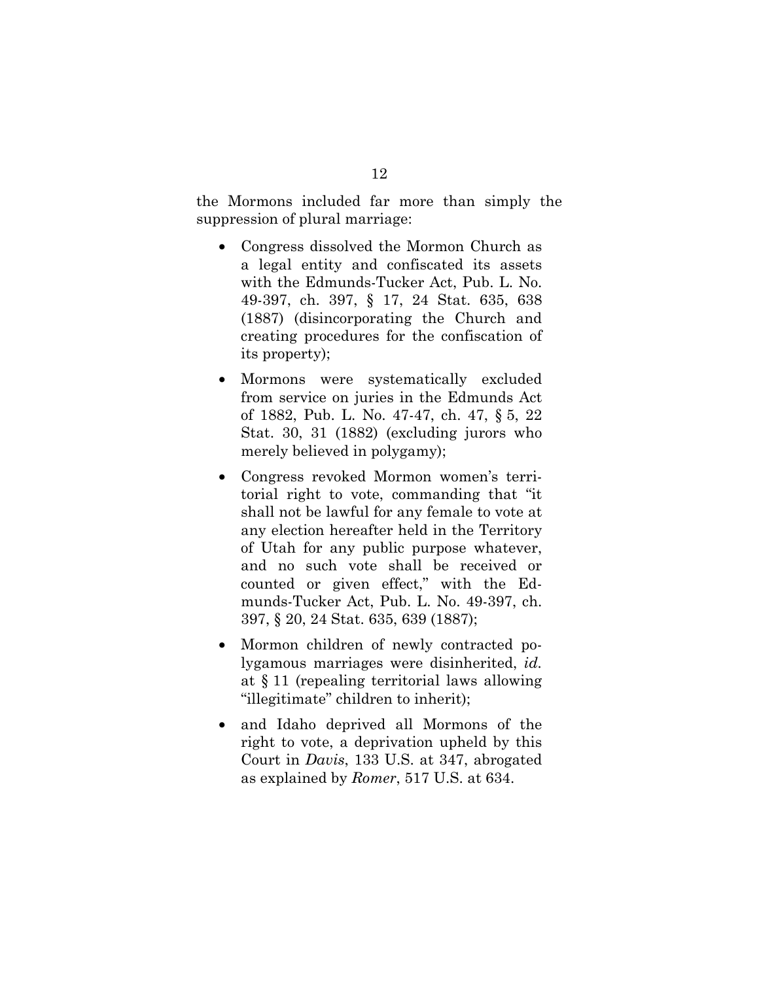the Mormons included far more than simply the suppression of plural marriage:

- Congress dissolved the Mormon Church as a legal entity and confiscated its assets with the Edmunds-Tucker Act, Pub. L. No. 49-397, ch. 397, § 17, 24 Stat. 635, 638 (1887) (disincorporating the Church and creating procedures for the confiscation of its property);
- Mormons were systematically excluded from service on juries in the Edmunds Act of 1882, Pub. L. No. 47-47, ch. 47, § 5, 22 Stat. 30, 31 (1882) (excluding jurors who merely believed in polygamy);
- Congress revoked Mormon women's territorial right to vote, commanding that "it shall not be lawful for any female to vote at any election hereafter held in the Territory of Utah for any public purpose whatever, and no such vote shall be received or counted or given effect," with the Edmunds-Tucker Act, Pub. L. No. 49-397, ch. 397, § 20, 24 Stat. 635, 639 (1887);
- Mormon children of newly contracted polygamous marriages were disinherited, *id.* at § 11 (repealing territorial laws allowing "illegitimate" children to inherit);
- and Idaho deprived all Mormons of the right to vote, a deprivation upheld by this Court in *Davis*, 133 U.S. at 347, abrogated as explained by *Romer*, 517 U.S. at 634.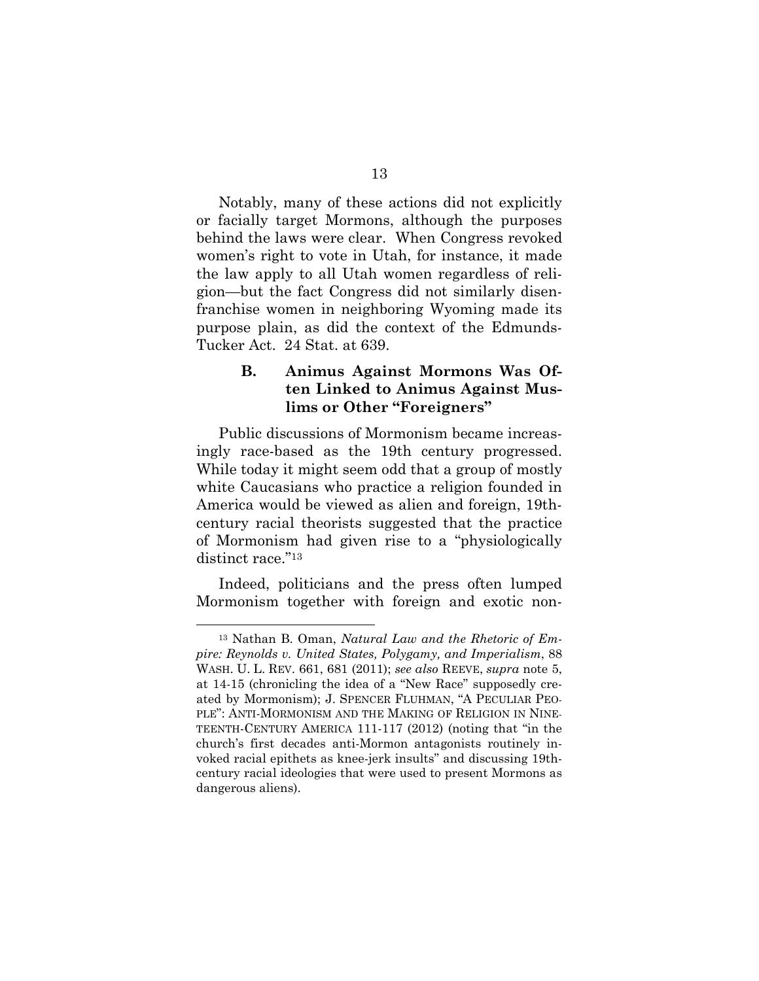Notably, many of these actions did not explicitly or facially target Mormons, although the purposes behind the laws were clear. When Congress revoked women's right to vote in Utah, for instance, it made the law apply to all Utah women regardless of religion—but the fact Congress did not similarly disenfranchise women in neighboring Wyoming made its purpose plain, as did the context of the Edmunds-Tucker Act. 24 Stat. at 639.

#### **B. Animus Against Mormons Was Often Linked to Animus Against Muslims or Other "Foreigners"**

Public discussions of Mormonism became increasingly race-based as the 19th century progressed. While today it might seem odd that a group of mostly white Caucasians who practice a religion founded in America would be viewed as alien and foreign, 19thcentury racial theorists suggested that the practice of Mormonism had given rise to a "physiologically distinct race."<sup>13</sup>

Indeed, politicians and the press often lumped Mormonism together with foreign and exotic non-

 <sup>13</sup> Nathan B. Oman, *Natural Law and the Rhetoric of Empire: Reynolds v. United States, Polygamy, and Imperialism*, 88 WASH. U. L. REV. 661, 681 (2011); *see also* REEVE, *supra* note 5, at 14-15 (chronicling the idea of a "New Race" supposedly created by Mormonism); J. SPENCER FLUHMAN, "A PECULIAR PEO-PLE": ANTI-MORMONISM AND THE MAKING OF RELIGION IN NINE-TEENTH-CENTURY AMERICA 111-117 (2012) (noting that "in the church's first decades anti-Mormon antagonists routinely invoked racial epithets as knee-jerk insults" and discussing 19thcentury racial ideologies that were used to present Mormons as dangerous aliens).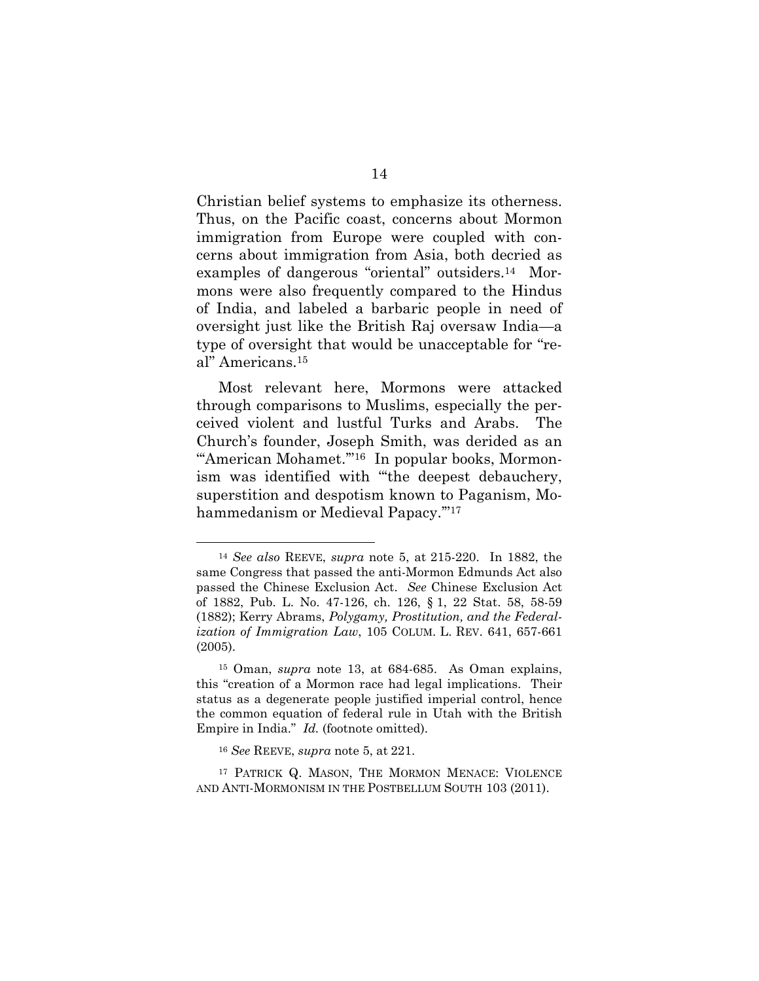Christian belief systems to emphasize its otherness. Thus, on the Pacific coast, concerns about Mormon immigration from Europe were coupled with concerns about immigration from Asia, both decried as examples of dangerous "oriental" outsiders.14 Mormons were also frequently compared to the Hindus of India, and labeled a barbaric people in need of oversight just like the British Raj oversaw India—a type of oversight that would be unacceptable for "real" Americans.15

Most relevant here, Mormons were attacked through comparisons to Muslims, especially the perceived violent and lustful Turks and Arabs. The Church's founder, Joseph Smith, was derided as an "'American Mohamet."<sup>16</sup> In popular books, Mormonism was identified with "'the deepest debauchery, superstition and despotism known to Paganism, Mohammedanism or Medieval Papacy.'"17

 <sup>14</sup> *See also* REEVE, *supra* note 5, at 215-220. In 1882, the same Congress that passed the anti-Mormon Edmunds Act also passed the Chinese Exclusion Act. *See* Chinese Exclusion Act of 1882, Pub. L. No. 47-126, ch. 126, § 1, 22 Stat. 58, 58-59 (1882); Kerry Abrams, *Polygamy, Prostitution, and the Federalization of Immigration Law*, 105 COLUM. L. REV. 641, 657-661 (2005).

<sup>15</sup> Oman, *supra* note 13, at 684-685. As Oman explains, this "creation of a Mormon race had legal implications. Their status as a degenerate people justified imperial control, hence the common equation of federal rule in Utah with the British Empire in India." *Id.* (footnote omitted).

<sup>16</sup> *See* REEVE, *supra* note 5, at 221.

<sup>17</sup> PATRICK Q. MASON, THE MORMON MENACE: VIOLENCE AND ANTI-MORMONISM IN THE POSTBELLUM SOUTH 103 (2011).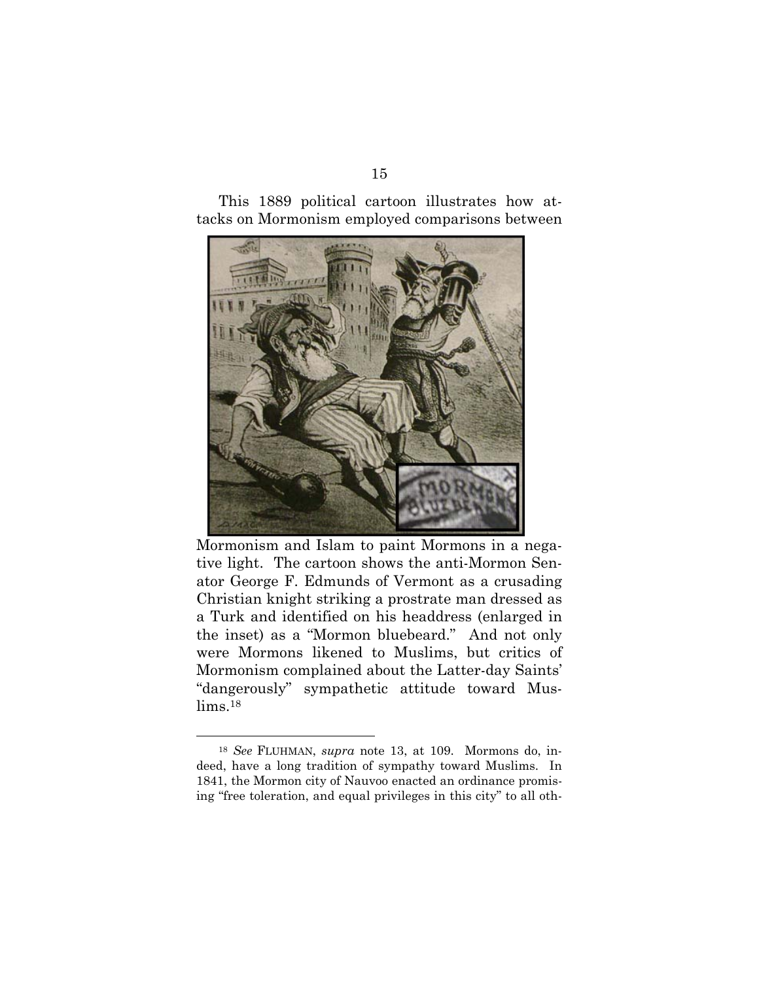This 1889 political cartoon illustrates how attacks on Mormonism employed comparisons between



Mormonism and Islam to paint Mormons in a negative light. The cartoon shows the anti-Mormon Senator George F. Edmunds of Vermont as a crusading Christian knight striking a prostrate man dressed as a Turk and identified on his headdress (enlarged in the inset) as a "Mormon bluebeard." And not only were Mormons likened to Muslims, but critics of Mormonism complained about the Latter-day Saints' "dangerously" sympathetic attitude toward Muslims.18

 <sup>18</sup> *See* FLUHMAN, *supra* note 13, at 109. Mormons do, indeed, have a long tradition of sympathy toward Muslims. In 1841, the Mormon city of Nauvoo enacted an ordinance promising "free toleration, and equal privileges in this city" to all oth-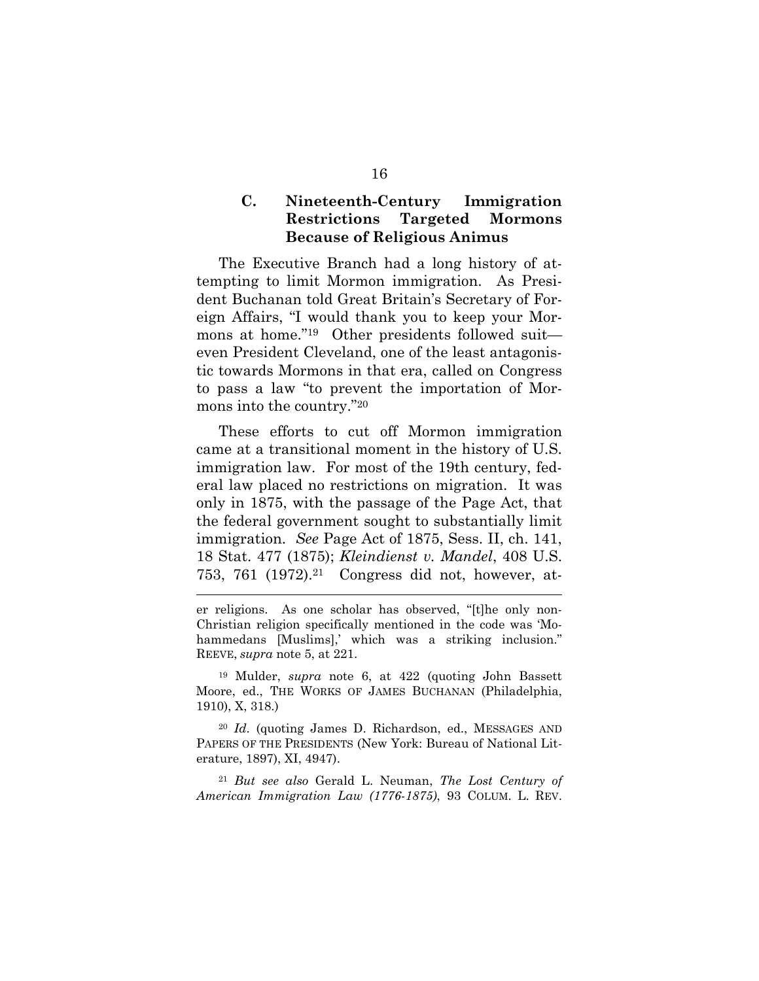#### **C. Nineteenth-Century Immigration Restrictions Targeted Mormons Because of Religious Animus**

The Executive Branch had a long history of attempting to limit Mormon immigration. As President Buchanan told Great Britain's Secretary of Foreign Affairs, "I would thank you to keep your Mormons at home."19 Other presidents followed suit even President Cleveland, one of the least antagonistic towards Mormons in that era, called on Congress to pass a law "to prevent the importation of Mormons into the country."20

These efforts to cut off Mormon immigration came at a transitional moment in the history of U.S. immigration law. For most of the 19th century, federal law placed no restrictions on migration. It was only in 1875, with the passage of the Page Act, that the federal government sought to substantially limit immigration. *See* Page Act of 1875, Sess. II, ch. 141, 18 Stat. 477 (1875); *Kleindienst v. Mandel*, 408 U.S. 753, 761 (1972).21 Congress did not, however, at-

er religions. As one scholar has observed, "[t]he only non-Christian religion specifically mentioned in the code was 'Mohammedans [Muslims],' which was a striking inclusion." REEVE, *supra* note 5, at 221.

19 Mulder, *supra* note 6, at 422 (quoting John Bassett Moore, ed., THE WORKS OF JAMES BUCHANAN (Philadelphia, 1910), X, 318.)

<sup>20</sup> *Id*. (quoting James D. Richardson, ed., MESSAGES AND PAPERS OF THE PRESIDENTS (New York: Bureau of National Literature, 1897), XI, 4947).

<sup>21</sup> *But see also* Gerald L. Neuman, *The Lost Century of American Immigration Law (1776-1875)*, 93 COLUM. L. REV.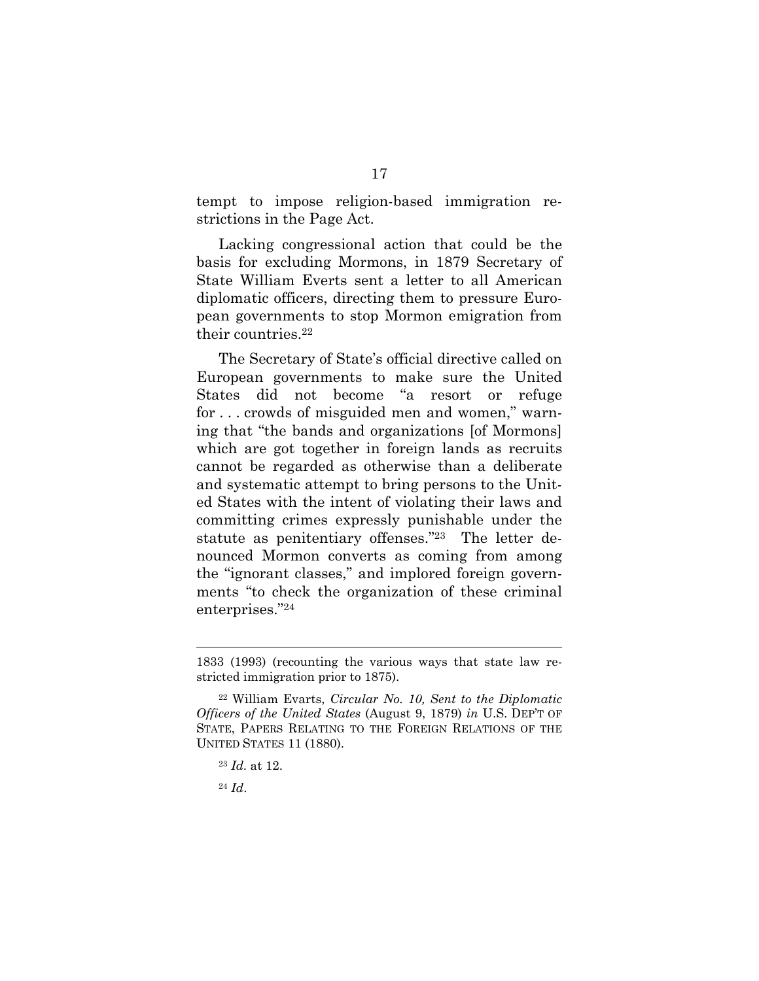tempt to impose religion-based immigration restrictions in the Page Act.

Lacking congressional action that could be the basis for excluding Mormons, in 1879 Secretary of State William Everts sent a letter to all American diplomatic officers, directing them to pressure European governments to stop Mormon emigration from their countries.22

The Secretary of State's official directive called on European governments to make sure the United States did not become "a resort or refuge for . . . crowds of misguided men and women," warning that "the bands and organizations [of Mormons] which are got together in foreign lands as recruits cannot be regarded as otherwise than a deliberate and systematic attempt to bring persons to the United States with the intent of violating their laws and committing crimes expressly punishable under the statute as penitentiary offenses."23 The letter denounced Mormon converts as coming from among the "ignorant classes," and implored foreign governments "to check the organization of these criminal enterprises."24

l

<sup>1833 (1993) (</sup>recounting the various ways that state law restricted immigration prior to 1875).

<sup>22</sup> William Evarts, *Circular No. 10, Sent to the Diplomatic Officers of the United States* (August 9, 1879) *in* U.S. DEP'T OF STATE, PAPERS RELATING TO THE FOREIGN RELATIONS OF THE UNITED STATES 11 (1880).

<sup>23</sup> *Id.* at 12.

<sup>24</sup> *Id*.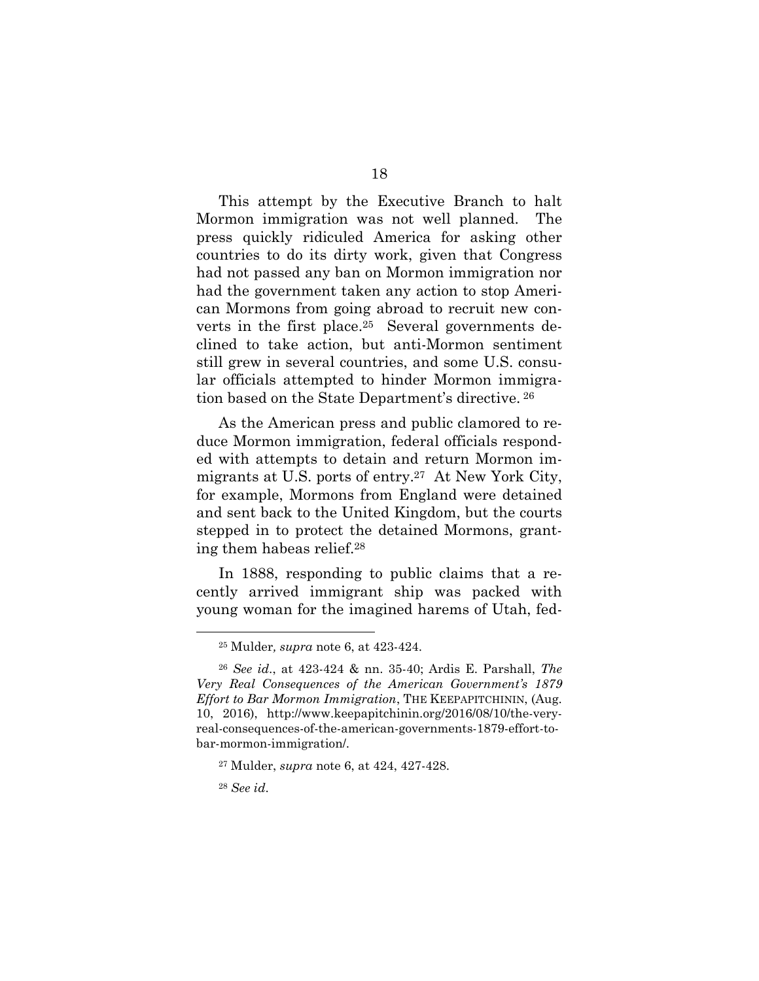This attempt by the Executive Branch to halt Mormon immigration was not well planned. The press quickly ridiculed America for asking other countries to do its dirty work, given that Congress had not passed any ban on Mormon immigration nor had the government taken any action to stop American Mormons from going abroad to recruit new converts in the first place.25 Several governments declined to take action, but anti-Mormon sentiment still grew in several countries, and some U.S. consular officials attempted to hinder Mormon immigration based on the State Department's directive. 26

As the American press and public clamored to reduce Mormon immigration, federal officials responded with attempts to detain and return Mormon immigrants at U.S. ports of entry.27 At New York City, for example, Mormons from England were detained and sent back to the United Kingdom, but the courts stepped in to protect the detained Mormons, granting them habeas relief.28

In 1888, responding to public claims that a recently arrived immigrant ship was packed with young woman for the imagined harems of Utah, fed-

 <sup>25</sup> Mulder*, supra* note 6, at 423-424.

<sup>26</sup> *See id*., at 423-424 & nn. 35-40; Ardis E. Parshall, *The Very Real Consequences of the American Government's 1879 Effort to Bar Mormon Immigration*, THE KEEPAPITCHININ, (Aug. 10, 2016), http://www.keepapitchinin.org/2016/08/10/the-veryreal-consequences-of-the-american-governments-1879-effort-tobar-mormon-immigration/.

<sup>27</sup> Mulder, *supra* note 6, at 424, 427-428.

<sup>28</sup> *See id*.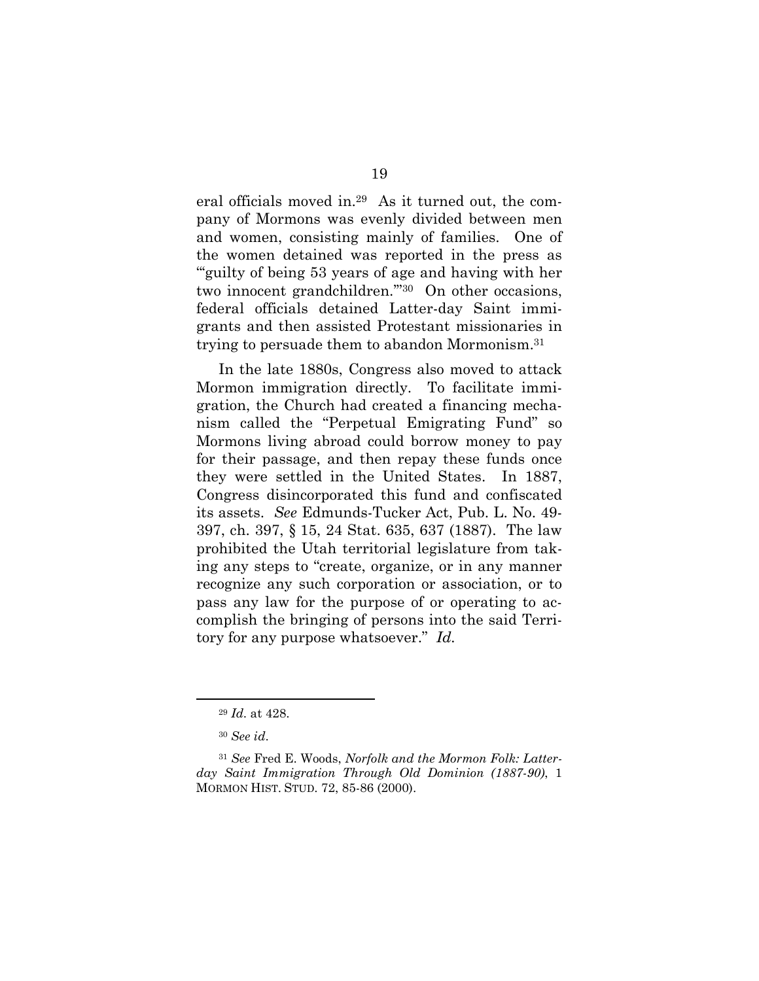eral officials moved in.29 As it turned out, the company of Mormons was evenly divided between men and women, consisting mainly of families. One of the women detained was reported in the press as "'guilty of being 53 years of age and having with her two innocent grandchildren.'"30 On other occasions, federal officials detained Latter-day Saint immigrants and then assisted Protestant missionaries in trying to persuade them to abandon Mormonism.31

In the late 1880s, Congress also moved to attack Mormon immigration directly. To facilitate immigration, the Church had created a financing mechanism called the "Perpetual Emigrating Fund" so Mormons living abroad could borrow money to pay for their passage, and then repay these funds once they were settled in the United States. In 1887, Congress disincorporated this fund and confiscated its assets. *See* Edmunds-Tucker Act, Pub. L. No. 49- 397, ch. 397, § 15, 24 Stat. 635, 637 (1887). The law prohibited the Utah territorial legislature from taking any steps to "create, organize, or in any manner recognize any such corporation or association, or to pass any law for the purpose of or operating to accomplish the bringing of persons into the said Territory for any purpose whatsoever." *Id.*

 <sup>29</sup> *Id.* at 428.

<sup>30</sup> *See id*.

<sup>31</sup> *See* Fred E. Woods, *Norfolk and the Mormon Folk: Latterday Saint Immigration Through Old Dominion (1887-90)*, 1 MORMON HIST. STUD. 72, 85-86 (2000).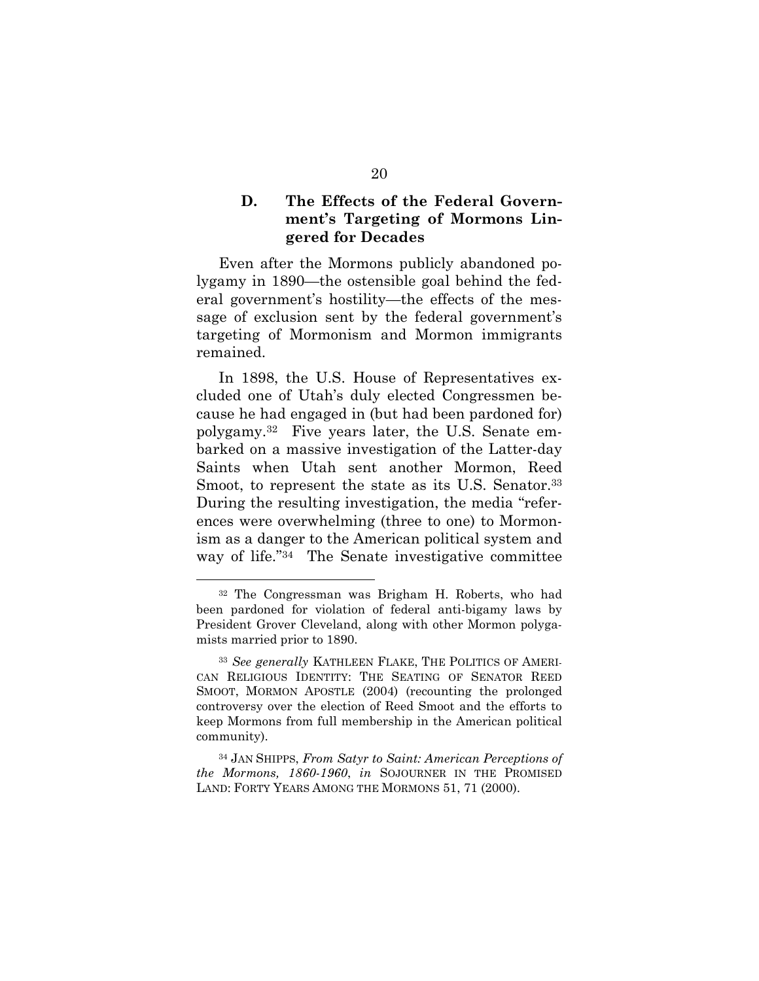#### **D. The Effects of the Federal Government's Targeting of Mormons Lingered for Decades**

Even after the Mormons publicly abandoned polygamy in 1890—the ostensible goal behind the federal government's hostility—the effects of the message of exclusion sent by the federal government's targeting of Mormonism and Mormon immigrants remained.

In 1898, the U.S. House of Representatives excluded one of Utah's duly elected Congressmen because he had engaged in (but had been pardoned for) polygamy.32 Five years later, the U.S. Senate embarked on a massive investigation of the Latter-day Saints when Utah sent another Mormon, Reed Smoot, to represent the state as its U.S. Senator.<sup>33</sup> During the resulting investigation, the media "references were overwhelming (three to one) to Mormonism as a danger to the American political system and way of life."34 The Senate investigative committee

 <sup>32</sup> The Congressman was Brigham H. Roberts, who had been pardoned for violation of federal anti-bigamy laws by President Grover Cleveland, along with other Mormon polygamists married prior to 1890.

<sup>33</sup> *See generally* KATHLEEN FLAKE, THE POLITICS OF AMERI-CAN RELIGIOUS IDENTITY: THE SEATING OF SENATOR REED SMOOT, MORMON APOSTLE (2004) (recounting the prolonged controversy over the election of Reed Smoot and the efforts to keep Mormons from full membership in the American political community).

<sup>34</sup> JAN SHIPPS, *From Satyr to Saint: American Perceptions of the Mormons, 1860-1960*, *in* SOJOURNER IN THE PROMISED LAND: FORTY YEARS AMONG THE MORMONS 51, 71 (2000).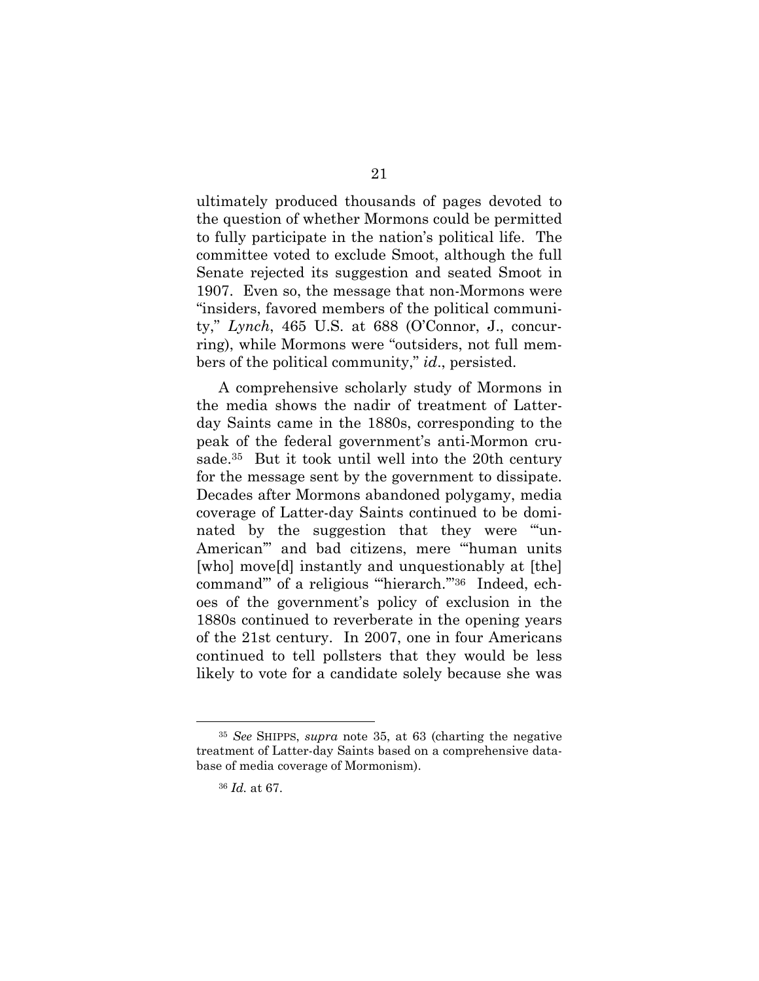ultimately produced thousands of pages devoted to the question of whether Mormons could be permitted to fully participate in the nation's political life. The committee voted to exclude Smoot, although the full Senate rejected its suggestion and seated Smoot in 1907. Even so, the message that non-Mormons were "insiders, favored members of the political community," *Lynch*, 465 U.S. at 688 (O'Connor, J., concurring), while Mormons were "outsiders, not full members of the political community," *id*., persisted.

A comprehensive scholarly study of Mormons in the media shows the nadir of treatment of Latterday Saints came in the 1880s, corresponding to the peak of the federal government's anti-Mormon crusade.35 But it took until well into the 20th century for the message sent by the government to dissipate. Decades after Mormons abandoned polygamy, media coverage of Latter-day Saints continued to be dominated by the suggestion that they were "un-American'" and bad citizens, mere "'human units [who] move[d] instantly and unquestionably at [the] command" of a religious "hierarch."<sup>36</sup> Indeed, echoes of the government's policy of exclusion in the 1880s continued to reverberate in the opening years of the 21st century. In 2007, one in four Americans continued to tell pollsters that they would be less likely to vote for a candidate solely because she was

 <sup>35</sup> *See* SHIPPS, *supra* note 35, at 63 (charting the negative treatment of Latter-day Saints based on a comprehensive database of media coverage of Mormonism).

<sup>36</sup> *Id.* at 67.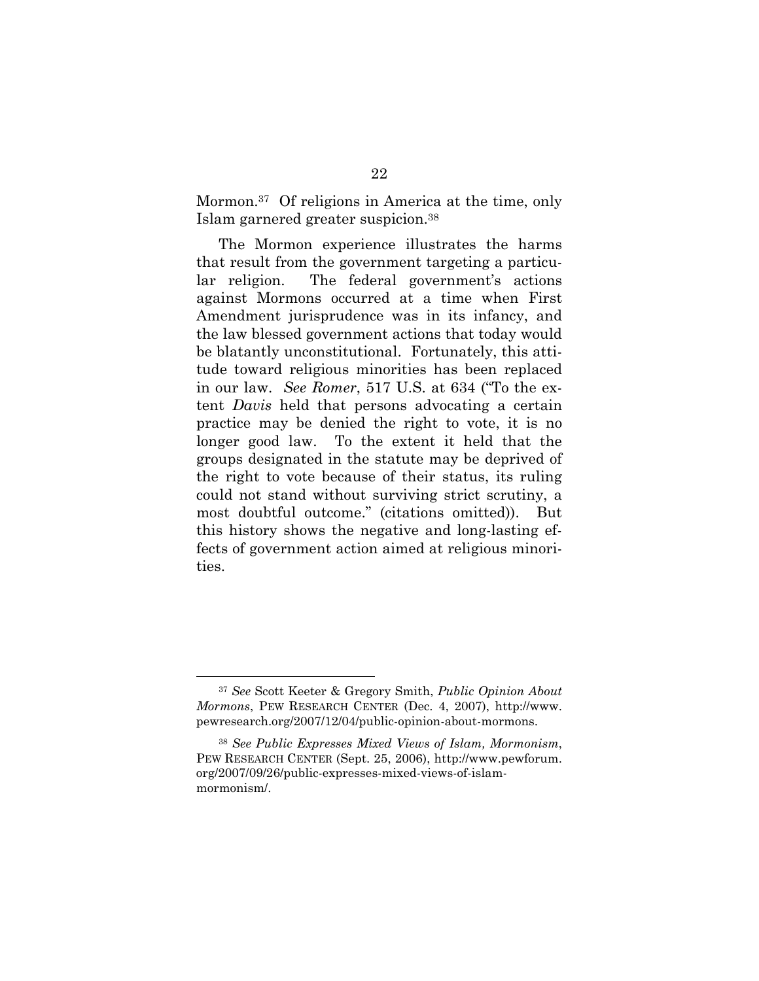Mormon.37 Of religions in America at the time, only Islam garnered greater suspicion.38

The Mormon experience illustrates the harms that result from the government targeting a particular religion. The federal government's actions against Mormons occurred at a time when First Amendment jurisprudence was in its infancy, and the law blessed government actions that today would be blatantly unconstitutional. Fortunately, this attitude toward religious minorities has been replaced in our law. *See Romer*, 517 U.S. at 634 ("To the extent *Davis* held that persons advocating a certain practice may be denied the right to vote, it is no longer good law. To the extent it held that the groups designated in the statute may be deprived of the right to vote because of their status, its ruling could not stand without surviving strict scrutiny, a most doubtful outcome." (citations omitted)). But this history shows the negative and long-lasting effects of government action aimed at religious minorities.

 <sup>37</sup> *See* Scott Keeter & Gregory Smith, *Public Opinion About Mormons*, PEW RESEARCH CENTER (Dec. 4, 2007), http://www. pewresearch.org/2007/12/04/public-opinion-about-mormons.

<sup>38</sup> *See Public Expresses Mixed Views of Islam, Mormonism*, PEW RESEARCH CENTER (Sept. 25, 2006), http://www.pewforum. org/2007/09/26/public-expresses-mixed-views-of-islammormonism/.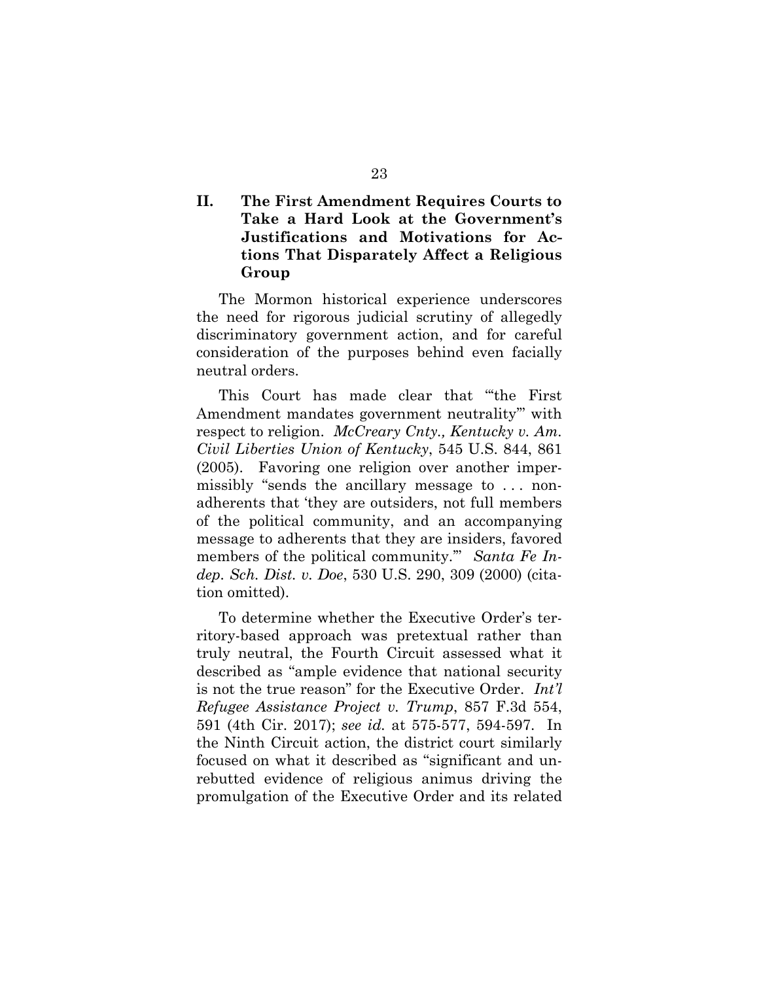### **II. The First Amendment Requires Courts to Take a Hard Look at the Government's Justifications and Motivations for Actions That Disparately Affect a Religious Group**

The Mormon historical experience underscores the need for rigorous judicial scrutiny of allegedly discriminatory government action, and for careful consideration of the purposes behind even facially neutral orders.

This Court has made clear that "'the First Amendment mandates government neutrality'" with respect to religion. *McCreary Cnty., Kentucky v. Am. Civil Liberties Union of Kentucky*, 545 U.S. 844, 861 (2005). Favoring one religion over another impermissibly "sends the ancillary message to . . . nonadherents that 'they are outsiders, not full members of the political community, and an accompanying message to adherents that they are insiders, favored members of the political community.'" *Santa Fe Indep. Sch. Dist. v. Doe*, 530 U.S. 290, 309 (2000) (citation omitted).

To determine whether the Executive Order's territory-based approach was pretextual rather than truly neutral, the Fourth Circuit assessed what it described as "ample evidence that national security is not the true reason" for the Executive Order. *Int'l Refugee Assistance Project v. Trump*, 857 F.3d 554, 591 (4th Cir. 2017); *see id.* at 575-577, 594-597. In the Ninth Circuit action, the district court similarly focused on what it described as "significant and unrebutted evidence of religious animus driving the promulgation of the Executive Order and its related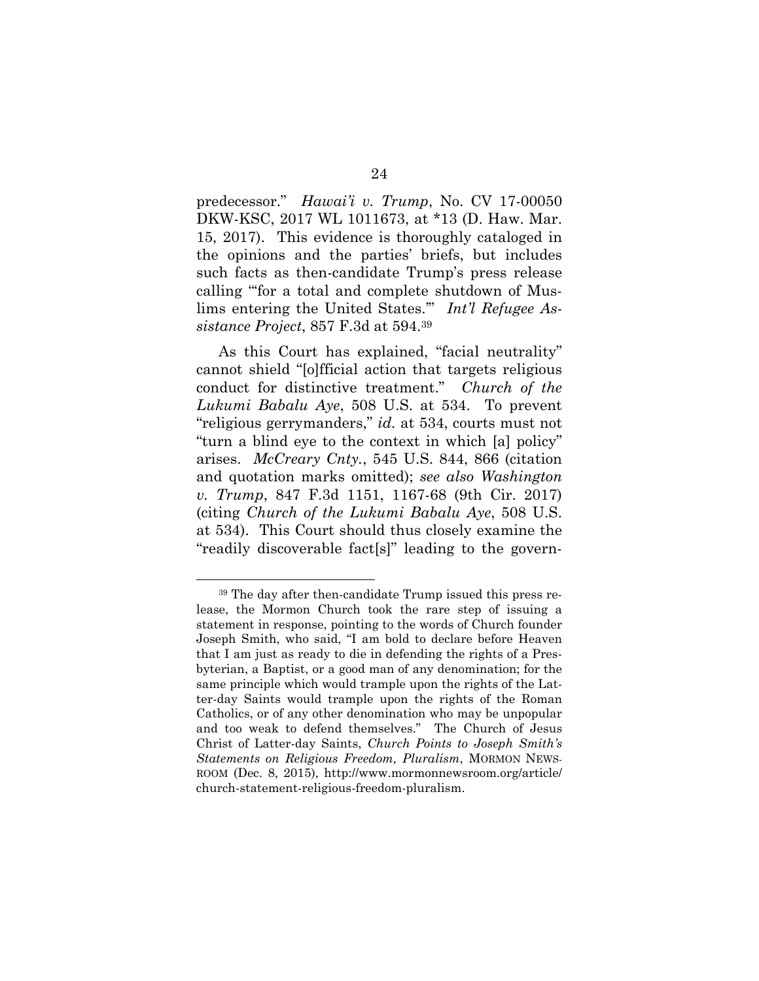predecessor." *Hawai'i v. Trump*, No. CV 17-00050 DKW-KSC, 2017 WL 1011673, at \*13 (D. Haw. Mar. 15, 2017). This evidence is thoroughly cataloged in the opinions and the parties' briefs, but includes such facts as then-candidate Trump's press release calling "'for a total and complete shutdown of Muslims entering the United States.'" *Int'l Refugee Assistance Project*, 857 F.3d at 594.39

As this Court has explained, "facial neutrality" cannot shield "[o]fficial action that targets religious conduct for distinctive treatment." *Church of the Lukumi Babalu Aye*, 508 U.S. at 534. To prevent "religious gerrymanders," *id.* at 534, courts must not "turn a blind eye to the context in which [a] policy" arises. *McCreary Cnty.*, 545 U.S. 844, 866 (citation and quotation marks omitted); *see also Washington v. Trump*, 847 F.3d 1151, 1167-68 (9th Cir. 2017) (citing *Church of the Lukumi Babalu Aye*, 508 U.S. at 534). This Court should thus closely examine the "readily discoverable fact[s]" leading to the govern-

 <sup>39</sup> The day after then-candidate Trump issued this press release, the Mormon Church took the rare step of issuing a statement in response, pointing to the words of Church founder Joseph Smith, who said, "I am bold to declare before Heaven that I am just as ready to die in defending the rights of a Presbyterian, a Baptist, or a good man of any denomination; for the same principle which would trample upon the rights of the Latter-day Saints would trample upon the rights of the Roman Catholics, or of any other denomination who may be unpopular and too weak to defend themselves."The Church of Jesus Christ of Latter-day Saints, *Church Points to Joseph Smith's Statements on Religious Freedom, Pluralism*, MORMON NEWS-ROOM (Dec. 8, 2015), http://www.mormonnewsroom.org/article/ church-statement-religious-freedom-pluralism.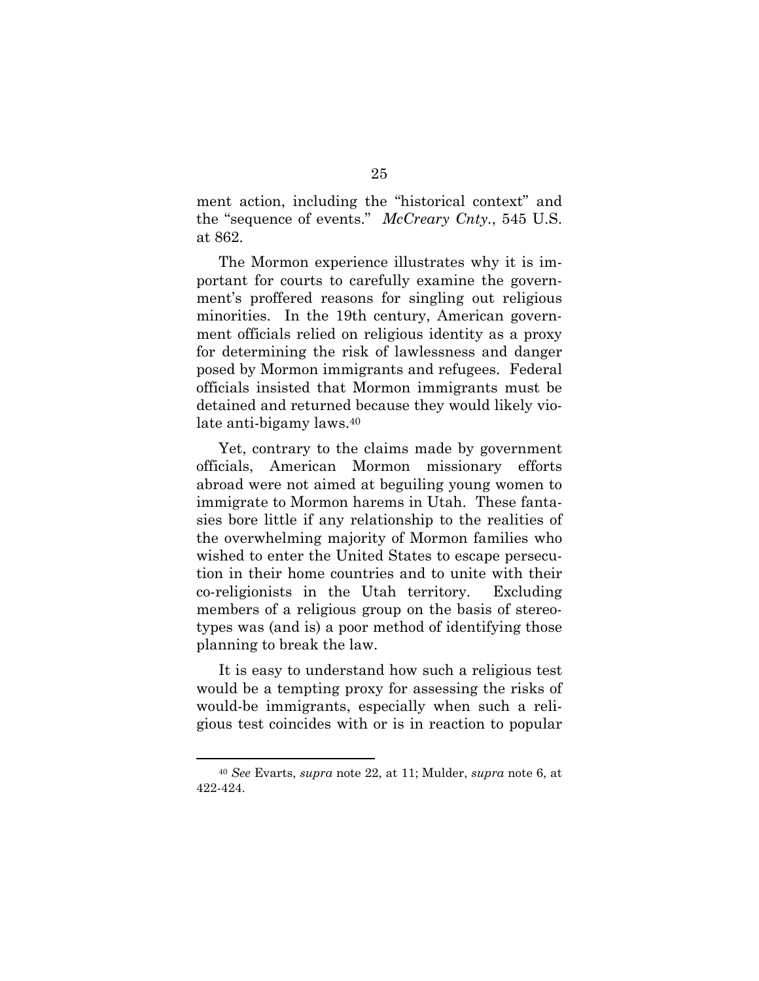ment action, including the "historical context" and the "sequence of events." *McCreary Cnty.*, 545 U.S. at 862.

The Mormon experience illustrates why it is important for courts to carefully examine the government's proffered reasons for singling out religious minorities. In the 19th century, American government officials relied on religious identity as a proxy for determining the risk of lawlessness and danger posed by Mormon immigrants and refugees. Federal officials insisted that Mormon immigrants must be detained and returned because they would likely violate anti-bigamy laws.40

Yet, contrary to the claims made by government officials, American Mormon missionary efforts abroad were not aimed at beguiling young women to immigrate to Mormon harems in Utah. These fantasies bore little if any relationship to the realities of the overwhelming majority of Mormon families who wished to enter the United States to escape persecution in their home countries and to unite with their co-religionists in the Utah territory. Excluding members of a religious group on the basis of stereotypes was (and is) a poor method of identifying those planning to break the law.

It is easy to understand how such a religious test would be a tempting proxy for assessing the risks of would-be immigrants, especially when such a religious test coincides with or is in reaction to popular

 <sup>40</sup> *See* Evarts, *supra* note 22, at 11; Mulder, *supra* note 6, at 422-424.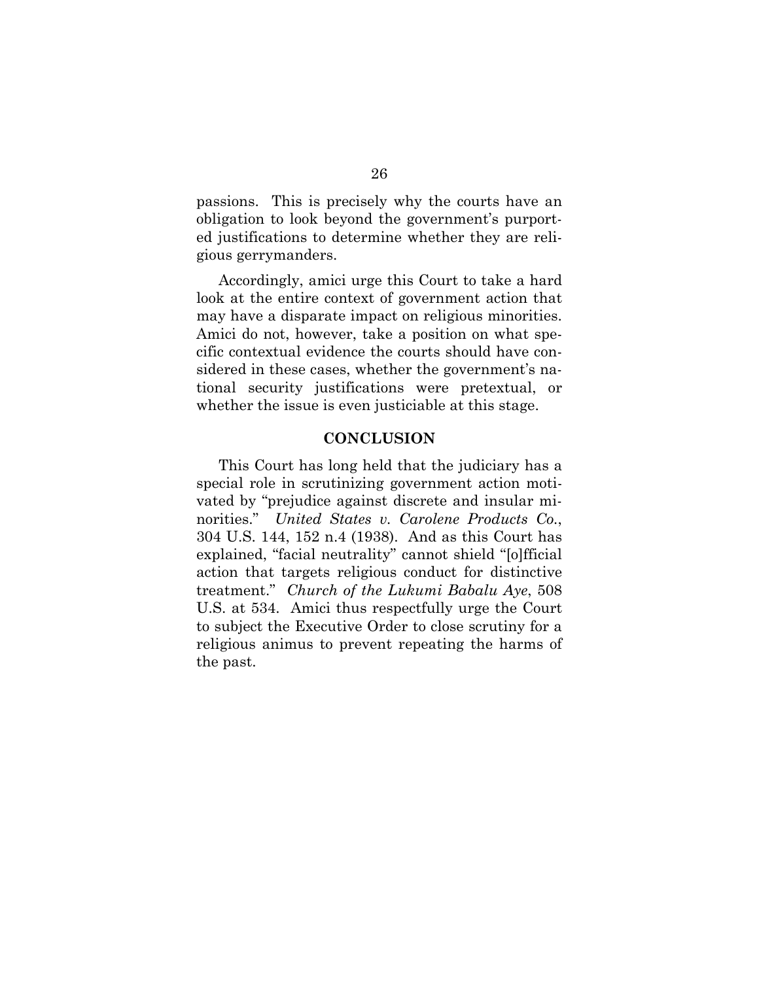passions. This is precisely why the courts have an obligation to look beyond the government's purported justifications to determine whether they are religious gerrymanders.

Accordingly, amici urge this Court to take a hard look at the entire context of government action that may have a disparate impact on religious minorities. Amici do not, however, take a position on what specific contextual evidence the courts should have considered in these cases, whether the government's national security justifications were pretextual, or whether the issue is even justiciable at this stage.

#### **CONCLUSION**

This Court has long held that the judiciary has a special role in scrutinizing government action motivated by "prejudice against discrete and insular minorities." *United States v. Carolene Products Co.*, 304 U.S. 144, 152 n.4 (1938). And as this Court has explained, "facial neutrality" cannot shield "[o]fficial action that targets religious conduct for distinctive treatment." *Church of the Lukumi Babalu Aye*, 508 U.S. at 534. Amici thus respectfully urge the Court to subject the Executive Order to close scrutiny for a religious animus to prevent repeating the harms of the past.